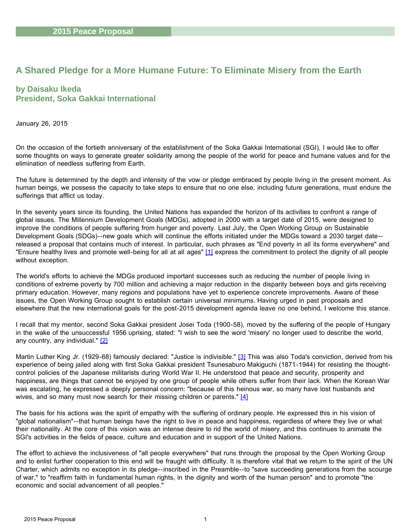# <span id="page-0-0"></span>**A Shared Pledge for a More Humane Future: To Eliminate Misery from the Earth**

## **by Daisaku Ikeda President, Soka Gakkai International**

January 26, 2015

On the occasion of the fortieth anniversary of the establishment of the Soka Gakkai International (SGI), I would like to offer some thoughts on ways to generate greater solidarity among the people of the world for peace and humane values and for the elimination of needless suffering from Earth.

The future is determined by the depth and intensity of the vow or pledge embraced by people living in the present moment. As human beings, we possess the capacity to take steps to ensure that no one else, including future generations, must endure the sufferings that afflict us today.

In the seventy years since its founding, the United Nations has expanded the horizon of its activities to confront a range of global issues. The Millennium Development Goals (MDGs), adopted in 2000 with a target date of 2015, were designed to improve the conditions of people suffering from hunger and poverty. Last July, the Open Working Group on Sustainable Development Goals (SDGs)--new goals which will continue the efforts initiated under the MDGs toward a 2030 target date- released a proposal that contains much of interest. In particular, such phrases as "End poverty in all its forms everywhere" and "Ensure healthy lives and promote well-being for all at all ages" [\[1\]](#page-20-0) express the commitment to protect the dignity of all people without exception.

The world's efforts to achieve the MDGs produced important successes such as reducing the number of people living in conditions of extreme poverty by 700 million and achieving a major reduction in the disparity between boys and girls receiving primary education. However, many regions and populations have yet to experience concrete improvements. Aware of these issues, the Open Working Group sought to establish certain universal minimums. Having urged in past proposals and elsewhere that the new international goals for the post-2015 development agenda leave no one behind, I welcome this stance.

I recall that my mentor, second Soka Gakkai president Josei Toda (1900-58), moved by the suffering of the people of Hungary in the wake of the unsuccessful 1956 uprising, stated: "I wish to see the word 'misery' no longer used to describe the world, any country, any individual." [\[2\]](#page-20-0)

Martin Luther King Jr. (1929-68) famously declared: "Justice is indivisible." [\[3\]](#page-20-0) This was also Toda's conviction, derived from his experience of being jailed along with first Soka Gakkai president Tsunesaburo Makiguchi (1871-1944) for resisting the thoughtcontrol policies of the Japanese militarists during World War II. He understood that peace and security, prosperity and happiness, are things that cannot be enjoyed by one group of people while others suffer from their lack. When the Korean War was escalating, he expressed a deeply personal concern: "because of this heinous war, so many have lost husbands and wives, and so many must now search for their missing children or parents." [\[4\]](#page-20-0)

The basis for his actions was the spirit of empathy with the suffering of ordinary people. He expressed this in his vision of "global nationalism"--that human beings have the right to live in peace and happiness, regardless of where they live or what their nationality. At the core of this vision was an intense desire to rid the world of misery, and this continues to animate the SGI's activities in the fields of peace, culture and education and in support of the United Nations.

The effort to achieve the inclusiveness of "all people everywhere" that runs through the proposal by the Open Working Group and to enlist further cooperation to this end will be fraught with difficulty. It is therefore vital that we return to the spirit of the UN Charter, which admits no exception in its pledge--inscribed in the Preamble--to "save succeeding generations from the scourge of war," to "reaffirm faith in fundamental human rights, in the dignity and worth of the human person" and to promote "the economic and social advancement of all peoples."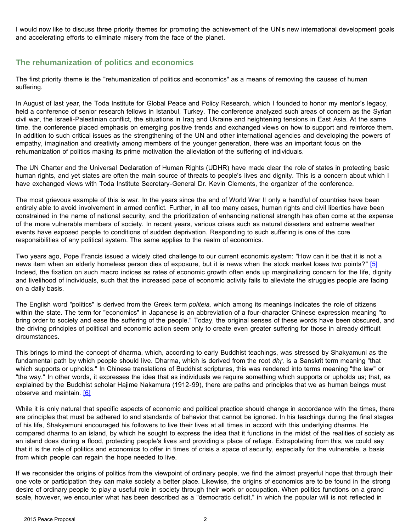<span id="page-1-0"></span>I would now like to discuss three priority themes for promoting the achievement of the UN's new international development goals and accelerating efforts to eliminate misery from the face of the planet.

### **The rehumanization of politics and economics**

The first priority theme is the "rehumanization of politics and economics" as a means of removing the causes of human suffering.

In August of last year, the Toda Institute for Global Peace and Policy Research, which I founded to honor my mentor's legacy, held a conference of senior research fellows in Istanbul, Turkey. The conference analyzed such areas of concern as the Syrian civil war, the Israeli-Palestinian conflict, the situations in Iraq and Ukraine and heightening tensions in East Asia. At the same time, the conference placed emphasis on emerging positive trends and exchanged views on how to support and reinforce them. In addition to such critical issues as the strengthening of the UN and other international agencies and developing the powers of empathy, imagination and creativity among members of the younger generation, there was an important focus on the rehumanization of politics making its prime motivation the alleviation of the suffering of individuals.

The UN Charter and the Universal Declaration of Human Rights (UDHR) have made clear the role of states in protecting basic human rights, and yet states are often the main source of threats to people's lives and dignity. This is a concern about which I have exchanged views with Toda Institute Secretary-General Dr. Kevin Clements, the organizer of the conference.

The most grievous example of this is war. In the years since the end of World War II only a handful of countries have been entirely able to avoid involvement in armed conflict. Further, in all too many cases, human rights and civil liberties have been constrained in the name of national security, and the prioritization of enhancing national strength has often come at the expense of the more vulnerable members of society. In recent years, various crises such as natural disasters and extreme weather events have exposed people to conditions of sudden deprivation. Responding to such suffering is one of the core responsibilities of any political system. The same applies to the realm of economics.

Two years ago, Pope Francis issued a widely cited challenge to our current economic system: "How can it be that it is not a news item when an elderly homeless person dies of exposure, but it is news when the stock market loses two points?" [\[5\]](#page-20-0) Indeed, the fixation on such macro indices as rates of economic growth often ends up marginalizing concern for the life, dignity and livelihood of individuals, such that the increased pace of economic activity fails to alleviate the struggles people are facing on a daily basis.

The English word "politics" is derived from the Greek term *politeia,* which among its meanings indicates the role of citizens within the state. The term for "economics" in Japanese is an abbreviation of a four-character Chinese expression meaning "to bring order to society and ease the suffering of the people." Today, the original senses of these words have been obscured, and the driving principles of political and economic action seem only to create even greater suffering for those in already difficult circumstances.

This brings to mind the concept of dharma, which, according to early Buddhist teachings, was stressed by Shakyamuni as the fundamental path by which people should live. Dharma, which is derived from the root *dhṛ,* is a Sanskrit term meaning "that which supports or upholds." In Chinese translations of Buddhist scriptures, this was rendered into terms meaning "the law" or "the way." In other words, it expresses the idea that as individuals we require something which supports or upholds us; that, as explained by the Buddhist scholar Hajime Nakamura (1912-99), there are paths and principles that we as human beings must observe and maintain. [\[6\]](#page-20-0)

While it is only natural that specific aspects of economic and political practice should change in accordance with the times, there are principles that must be adhered to and standards of behavior that cannot be ignored. In his teachings during the final stages of his life, Shakyamuni encouraged his followers to live their lives at all times in accord with this underlying dharma. He compared dharma to an island, by which he sought to express the idea that it functions in the midst of the realities of society as an island does during a flood, protecting people's lives and providing a place of refuge. Extrapolating from this, we could say that it is the role of politics and economics to offer in times of crisis a space of security, especially for the vulnerable, a basis from which people can regain the hope needed to live.

If we reconsider the origins of politics from the viewpoint of ordinary people, we find the almost prayerful hope that through their one vote or participation they can make society a better place. Likewise, the origins of economics are to be found in the strong desire of ordinary people to play a useful role in society through their work or occupation. When politics functions on a grand scale, however, we encounter what has been described as a "democratic deficit," in which the popular will is not reflected in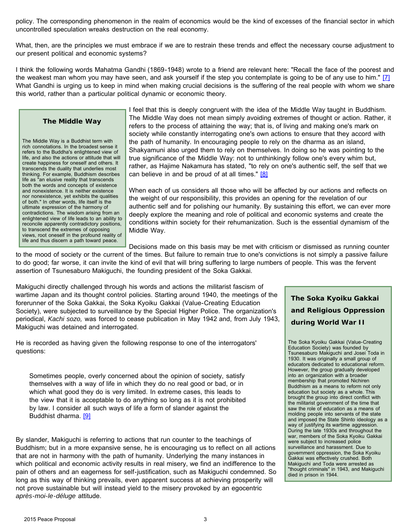<span id="page-2-0"></span>policy. The corresponding phenomenon in the realm of economics would be the kind of excesses of the financial sector in which uncontrolled speculation wreaks destruction on the real economy.

What, then, are the principles we must embrace if we are to restrain these trends and effect the necessary course adjustment to our present political and economic systems?

I think the following words Mahatma Gandhi (1869-1948) wrote to a friend are relevant here: "Recall the face of the poorest and the weakest man whom you may have seen, and ask yourself if the step you contemplate is going to be of any use to him." [\[7\]](#page-20-0) What Gandhi is urging us to keep in mind when making crucial decisions is the suffering of the real people with whom we share this world, rather than a particular political dynamic or economic theory.

#### **The Middle Way**

The Middle Way is a Buddhist term with rich connotations. In the broadest sense it refers to the Buddha's enlightened view of life, and also the actions or attitude that will create happiness for oneself and others. It transcends the duality that underlies most thinking. For example, Buddhism describes life as "an elusive reality that transcends both the words and concepts of existence and nonexistence. It is neither existence nor nonexistence, yet exhibits the qualities of both." In other words, life itself is the ultimate expression of the harmony of contradictions. The wisdom arising from an enlightened view of life leads to an ability to reconcile apparently contradictory positions, to transcend the extremes of opposing views, root oneself in the profound reality of life and thus discern a path toward peace.

I feel that this is deeply congruent with the idea of the Middle Way taught in Buddhism. The Middle Way does not mean simply avoiding extremes of thought or action. Rather, it refers to the process of attaining the way; that is, of living and making one's mark on society while constantly interrogating one's own actions to ensure that they accord with the path of humanity. In encouraging people to rely on the dharma as an island, Shakyamuni also urged them to rely on themselves. In doing so he was pointing to the true significance of the Middle Way: not to unthinkingly follow one's every whim but, rather, as Hajime Nakamura has stated, "to rely on one's authentic self, the self that we can believe in and be proud of at all times." [\[8\]](#page-20-0)

When each of us considers all those who will be affected by our actions and reflects on the weight of our responsibility, this provides an opening for the revelation of our authentic self and for polishing our humanity. By sustaining this effort, we can ever more deeply explore the meaning and role of political and economic systems and create the conditions within society for their rehumanization. Such is the essential dynamism of the Middle Way.

Decisions made on this basis may be met with criticism or dismissed as running counter to the mood of society or the current of the times. But failure to remain true to one's convictions is not simply a passive failure to do good; far worse, it can invite the kind of evil that will bring suffering to large numbers of people. This was the fervent assertion of Tsunesaburo Makiguchi, the founding president of the Soka Gakkai.

Makiguchi directly challenged through his words and actions the militarist fascism of wartime Japan and its thought control policies. Starting around 1940, the meetings of the forerunner of the Soka Gakkai, the Soka Kyoiku Gakkai (Value-Creating Education Society), were subjected to surveillance by the Special Higher Police. The organization's periodical, *Kachi sozo,* was forced to cease publication in May 1942 and, from July 1943, Makiguchi was detained and interrogated.

He is recorded as having given the following response to one of the interrogators' questions:

Sometimes people, overly concerned about the opinion of society, satisfy themselves with a way of life in which they do no real good or bad, or in which what good they do is very limited. In extreme cases, this leads to the view that it is acceptable to do anything so long as it is not prohibited by law. I consider all such ways of life a form of slander against the Buddhist dharma. [\[9\]](#page-20-1)

By slander, Makiguchi is referring to actions that run counter to the teachings of Buddhism; but in a more expansive sense, he is encouraging us to reflect on all actions that are not in harmony with the path of humanity. Underlying the many instances in which political and economic activity results in real misery, we find an indifference to the pain of others and an eagerness for self-justification, such as Makiguchi condemned. So long as this way of thinking prevails, even apparent success at achieving prosperity will not prove sustainable but will instead yield to the misery provoked by an egocentric *après-moi-le-déluge* attitude.

**The Soka Kyoiku Gakkai and Religious Oppression during World War II**

The Soka Kyoiku Gakkai (Value-Creating Education Society) was founded by Tsunesaburo Makiguchi and Josei Toda in 1930. It was originally a small group of educators dedicated to educational reform. However, the group gradually developed into an organization with a broader membership that promoted Nichiren Buddhism as a means to reform not only education but society as a whole. This brought the group into direct conflict with the militarist government of the time that saw the role of education as a means of molding people into servants of the state and imposed the State Shinto ideology as a way of justifying its wartime aggression. During the late 1930s and throughout the war, members of the Soka Kyoiku Gakkai were subject to increased police surveillance and harassment. Due to government oppression, the Soka Kyoiku Gakkai was effectively crushed. Both Makiguchi and Toda were arrested as "thought criminals" in 1943, and Makiguchi died in prison in 1944.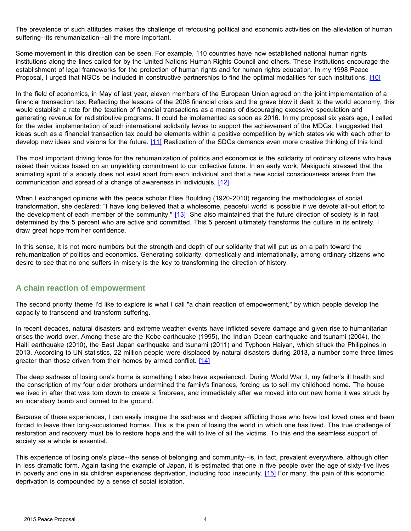<span id="page-3-0"></span>The prevalence of such attitudes makes the challenge of refocusing political and economic activities on the alleviation of human suffering--its rehumanization--all the more important.

Some movement in this direction can be seen. For example, 110 countries have now established national human rights institutions along the lines called for by the United Nations Human Rights Council and others. These institutions encourage the establishment of legal frameworks for the protection of human rights and for human rights education. In my 1998 Peace Proposal, I urged that NGOs be included in constructive partnerships to find the optimal modalities for such institutions. [\[10\]](#page-20-2)

In the field of economics, in May of last year, eleven members of the European Union agreed on the joint implementation of a financial transaction tax. Reflecting the lessons of the 2008 financial crisis and the grave blow it dealt to the world economy, this would establish a rate for the taxation of financial transactions as a means of discouraging excessive speculation and generating revenue for redistributive programs. It could be implemented as soon as 2016. In my proposal six years ago, I called for the wider implementation of such international solidarity levies to support the achievement of the MDGs. I suggested that ideas such as a financial transaction tax could be elements within a positive competition by which states vie with each other to develop new ideas and visions for the future. [\[11\]](#page-20-2) Realization of the SDGs demands even more creative thinking of this kind.

The most important driving force for the rehumanization of politics and economics is the solidarity of ordinary citizens who have raised their voices based on an unyielding commitment to our collective future. In an early work, Makiguchi stressed that the animating spirit of a society does not exist apart from each individual and that a new social consciousness arises from the communication and spread of a change of awareness in individuals. [\[12\]](#page-20-2)

When I exchanged opinions with the peace scholar Elise Boulding (1920-2010) regarding the methodologies of social transformation, she declared: "I have long believed that a wholesome, peaceful world is possible if we devote all-out effort to the development of each member of the community." [\[13\]](#page-20-2) She also maintained that the future direction of society is in fact determined by the 5 percent who are active and committed. This 5 percent ultimately transforms the culture in its entirety. I draw great hope from her confidence.

In this sense, it is not mere numbers but the strength and depth of our solidarity that will put us on a path toward the rehumanization of politics and economics. Generating solidarity, domestically and internationally, among ordinary citizens who desire to see that no one suffers in misery is the key to transforming the direction of history.

### **A chain reaction of empowerment**

The second priority theme I'd like to explore is what I call "a chain reaction of empowerment," by which people develop the capacity to transcend and transform suffering.

In recent decades, natural disasters and extreme weather events have inflicted severe damage and given rise to humanitarian crises the world over. Among these are the Kobe earthquake (1995), the Indian Ocean earthquake and tsunami (2004), the Haiti earthquake (2010), the East Japan earthquake and tsunami (2011) and Typhoon Haiyan, which struck the Philippines in 2013. According to UN statistics, 22 million people were displaced by natural disasters during 2013, a number some three times greater than those driven from their homes by armed conflict. [\[14\]](#page-20-2)

The deep sadness of losing one's home is something I also have experienced. During World War II, my father's ill health and the conscription of my four older brothers undermined the family's finances, forcing us to sell my childhood home. The house we lived in after that was torn down to create a firebreak, and immediately after we moved into our new home it was struck by an incendiary bomb and burned to the ground.

Because of these experiences, I can easily imagine the sadness and despair afflicting those who have lost loved ones and been forced to leave their long-accustomed homes. This is the pain of losing the world in which one has lived. The true challenge of restoration and recovery must be to restore hope and the will to live of all the victims. To this end the seamless support of society as a whole is essential.

This experience of losing one's place--the sense of belonging and community--is, in fact, prevalent everywhere, although often in less dramatic form. Again taking the example of Japan, it is estimated that one in five people over the age of sixty-five lives in poverty and one in six children experiences deprivation, including food insecurity. [\[15\]](#page-20-2) For many, the pain of this economic deprivation is compounded by a sense of social isolation.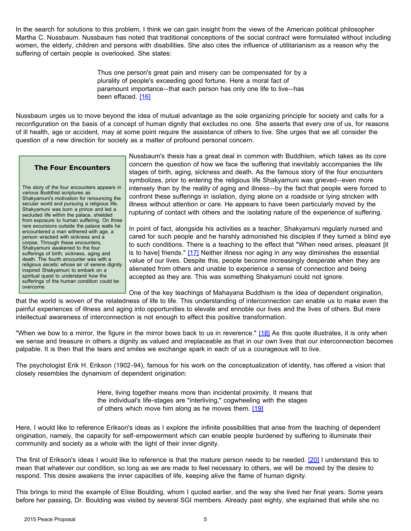<span id="page-4-0"></span>In the search for solutions to this problem, I think we can gain insight from the views of the American political philosopher Martha C. Nussbaum. Nussbaum has noted that traditional conceptions of the social contract were formulated without including women, the elderly, children and persons with disabilities. She also cites the influence of utilitarianism as a reason why the suffering of certain people is overlooked. She states:

> Thus one person's great pain and misery can be compensated for by a plurality of people's exceeding good fortune. Here a moral fact of paramount importance--that each person has only one life to live--has been effaced. [\[16\]](#page-20-1)

Nussbaum urges us to move beyond the idea of mutual advantage as the sole organizing principle for society and calls for a reconfiguration on the basis of a concept of human dignity that excludes no one. She asserts that every one of us, for reasons of ill health, age or accident, may at some point require the assistance of others to live. She urges that we all consider the question of a new direction for society as a matter of profound personal concern.

#### **The Four Encounters**

The story of the four encounters appears in various Buddhist scriptures as Shakyamuni's motivation for renouncing the secular world and pursuing a religious life. Shakyamuni was born a prince and led a secluded life within the palace, shielded from exposure to human suffering. On three rare excursions outside the palace walls he encountered a man withered with age, a person wracked with sickness and a corpse. Through these encounters, Shakyamuni awakened to the four sufferings of birth, sickness, aging and death. The fourth encounter was with a religious ascetic whose air of serene dignity inspired Shakyamuni to embark on a spiritual quest to understand how the sufferings of the human condition could be overcome.

Nussbaum's thesis has a great deal in common with Buddhism, which takes as its core concern the question of how we face the suffering that inevitably accompanies the life stages of birth, aging, sickness and death. As the famous story of the four encounters symbolizes, prior to entering the religious life Shakyamuni was grieved--even more intensely than by the reality of aging and illness--by the fact that people were forced to confront these sufferings in isolation, dying alone on a roadside or lying stricken with illness without attention or care. He appears to have been particularly moved by the rupturing of contact with others and the isolating nature of the experience of suffering.

In point of fact, alongside his activities as a teacher, Shakyamuni regularly nursed and cared for such people and he harshly admonished his disciples if they turned a blind eye to such conditions. There is a teaching to the effect that "When need arises, pleasant [it is to have] friends." [\[17\]](#page-20-2) Neither illness nor aging in any way diminishes the essential value of our lives. Despite this, people become increasingly desperate when they are alienated from others and unable to experience a sense of connection and being accepted as they are. This was something Shakyamuni could not ignore.

One of the key teachings of Mahayana Buddhism is the idea of dependent origination, that the world is woven of the relatedness of life to life. This understanding of interconnection can enable us to make even the painful experiences of illness and aging into opportunities to elevate and ennoble our lives and the lives of others. But mere

"When we bow to a mirror, the figure in the mirror bows back to us in reverence." [\[18\]](#page-20-2) As this quote illustrates, it is only when we sense and treasure in others a dignity as valued and irreplaceable as that in our own lives that our interconnection becomes palpable. It is then that the tears and smiles we exchange spark in each of us a courageous will to live.

intellectual awareness of interconnection is not enough to effect this positive transformation.

The psychologist Erik H. Erikson (1902-94), famous for his work on the conceptualization of identity, has offered a vision that closely resembles the dynamism of dependent origination:

> Here, living together means more than incidental proximity. It means that the individual's life-stages are "interliving," cogwheeling with the stages of others which move him along as he moves them. [\[19\]](#page-20-1)

Here, I would like to reference Erikson's ideas as I explore the infinite possibilities that arise from the teaching of dependent origination, namely, the capacity for self-empowerment which can enable people burdened by suffering to illuminate their community and society as a whole with the light of their inner dignity.

The first of Erikson's ideas I would like to reference is that the mature person needs to be needed. [\[20\]](#page-20-3) I understand this to mean that whatever our condition, so long as we are made to feel necessary to others, we will be moved by the desire to respond. This desire awakens the inner capacities of life, keeping alive the flame of human dignity.

This brings to mind the example of Elise Boulding, whom I quoted earlier, and the way she lived her final years. Some years before her passing, Dr. Boulding was visited by several SGI members. Already past eighty, she explained that while she no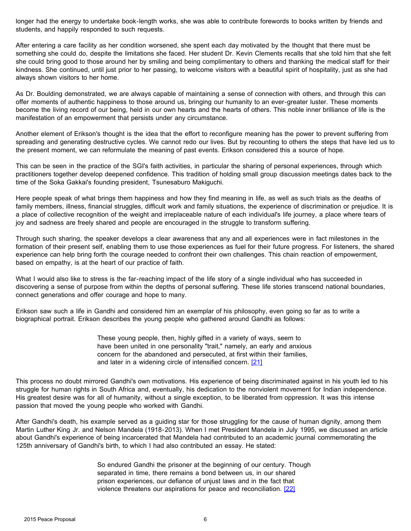<span id="page-5-0"></span>longer had the energy to undertake book-length works, she was able to contribute forewords to books written by friends and students, and happily responded to such requests.

After entering a care facility as her condition worsened, she spent each day motivated by the thought that there must be something she could do, despite the limitations she faced. Her student Dr. Kevin Clements recalls that she told him that she felt she could bring good to those around her by smiling and being complimentary to others and thanking the medical staff for their kindness. She continued, until just prior to her passing, to welcome visitors with a beautiful spirit of hospitality, just as she had always shown visitors to her home.

As Dr. Boulding demonstrated, we are always capable of maintaining a sense of connection with others, and through this can offer moments of authentic happiness to those around us, bringing our humanity to an ever-greater luster. These moments become the living record of our being, held in our own hearts and the hearts of others. This noble inner brilliance of life is the manifestation of an empowerment that persists under any circumstance.

Another element of Erikson's thought is the idea that the effort to reconfigure meaning has the power to prevent suffering from spreading and generating destructive cycles. We cannot redo our lives. But by recounting to others the steps that have led us to the present moment, we can reformulate the meaning of past events. Erikson considered this a source of hope.

This can be seen in the practice of the SGI's faith activities, in particular the sharing of personal experiences, through which practitioners together develop deepened confidence. This tradition of holding small group discussion meetings dates back to the time of the Soka Gakkai's founding president, Tsunesaburo Makiguchi.

Here people speak of what brings them happiness and how they find meaning in life, as well as such trials as the deaths of family members, illness, financial struggles, difficult work and family situations, the experience of discrimination or prejudice. It is a place of collective recognition of the weight and irreplaceable nature of each individual's life journey, a place where tears of joy and sadness are freely shared and people are encouraged in the struggle to transform suffering.

Through such sharing, the speaker develops a clear awareness that any and all experiences were in fact milestones in the formation of their present self, enabling them to use those experiences as fuel for their future progress. For listeners, the shared experience can help bring forth the courage needed to confront their own challenges. This chain reaction of empowerment, based on empathy, is at the heart of our practice of faith.

What I would also like to stress is the far-reaching impact of the life story of a single individual who has succeeded in discovering a sense of purpose from within the depths of personal suffering. These life stories transcend national boundaries, connect generations and offer courage and hope to many.

Erikson saw such a life in Gandhi and considered him an exemplar of his philosophy, even going so far as to write a biographical portrait. Erikson describes the young people who gathered around Gandhi as follows:

> These young people, then, highly gifted in a variety of ways, seem to have been united in one personality "trait," namely, an early and anxious concern for the abandoned and persecuted, at first within their families, and later in a widening circle of intensified concern. [\[21\]](#page-20-1)

This process no doubt mirrored Gandhi's own motivations. His experience of being discriminated against in his youth led to his struggle for human rights in South Africa and, eventually, his dedication to the nonviolent movement for Indian independence. His greatest desire was for all of humanity, without a single exception, to be liberated from oppression. It was this intense passion that moved the young people who worked with Gandhi.

After Gandhi's death, his example served as a guiding star for those struggling for the cause of human dignity, among them Martin Luther King Jr. and Nelson Mandela (1918-2013). When I met President Mandela in July 1995, we discussed an article about Gandhi's experience of being incarcerated that Mandela had contributed to an academic journal commemorating the 125th anniversary of Gandhi's birth, to which I had also contributed an essay. He stated:

> So endured Gandhi the prisoner at the beginning of our century. Though separated in time, there remains a bond between us, in our shared prison experiences, our defiance of unjust laws and in the fact that violence threatens our aspirations for peace and reconciliation. [\[22\]](#page-20-1)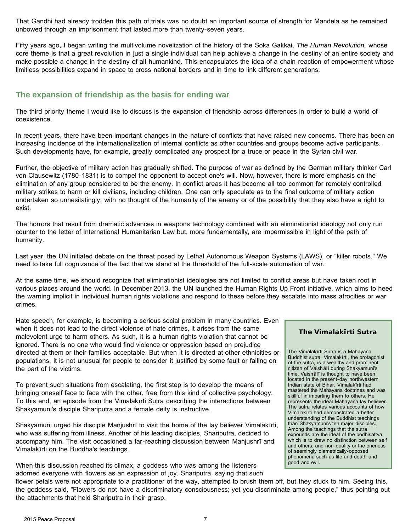That Gandhi had already trodden this path of trials was no doubt an important source of strength for Mandela as he remained unbowed through an imprisonment that lasted more than twenty-seven years.

Fifty years ago, I began writing the multivolume novelization of the history of the Soka Gakkai, *The Human Revolution,* whose core theme is that a great revolution in just a single individual can help achieve a change in the destiny of an entire society and make possible a change in the destiny of all humankind. This encapsulates the idea of a chain reaction of empowerment whose limitless possibilities expand in space to cross national borders and in time to link different generations.

### **The expansion of friendship as the basis for ending war**

The third priority theme I would like to discuss is the expansion of friendship across differences in order to build a world of coexistence.

In recent years, there have been important changes in the nature of conflicts that have raised new concerns. There has been an increasing incidence of the internationalization of internal conflicts as other countries and groups become active participants. Such developments have, for example, greatly complicated any prospect for a truce or peace in the Syrian civil war.

Further, the objective of military action has gradually shifted. The purpose of war as defined by the German military thinker Carl von Clausewitz (1780-1831) is to compel the opponent to accept one's will. Now, however, there is more emphasis on the elimination of any group considered to be the enemy. In conflict areas it has become all too common for remotely controlled military strikes to harm or kill civilians, including children. One can only speculate as to the final outcome of military action undertaken so unhesitatingly, with no thought of the humanity of the enemy or of the possibility that they also have a right to exist.

The horrors that result from dramatic advances in weapons technology combined with an eliminationist ideology not only run counter to the letter of International Humanitarian Law but, more fundamentally, are impermissible in light of the path of humanity.

Last year, the UN initiated debate on the threat posed by Lethal Autonomous Weapon Systems (LAWS), or "killer robots." We need to take full cognizance of the fact that we stand at the threshold of the full-scale automation of war.

At the same time, we should recognize that eliminationist ideologies are not limited to conflict areas but have taken root in various places around the world. In December 2013, the UN launched the Human Rights Up Front initiative, which aims to heed the warning implicit in individual human rights violations and respond to these before they escalate into mass atrocities or war crimes.

Hate speech, for example, is becoming a serious social problem in many countries. Even when it does not lead to the direct violence of hate crimes, it arises from the same malevolent urge to harm others. As such, it is a human rights violation that cannot be ignored. There is no one who would find violence or oppression based on prejudice directed at them or their families acceptable. But when it is directed at other ethnicities or populations, it is not unusual for people to consider it justified by some fault or failing on the part of the victims.

To prevent such situations from escalating, the first step is to develop the means of bringing oneself face to face with the other, free from this kind of collective psychology. To this end, an episode from the Vimalakīrti Sutra describing the interactions between Shakyamuni's disciple Shariputra and a female deity is instructive.

Shakyamuni urged his disciple Manjushrī to visit the home of the lay believer Vimalakīrti, who was suffering from illness. Another of his leading disciples, Shariputra, decided to accompany him. The visit occasioned a far-reaching discussion between Manjushrī and Vimalakīrti on the Buddha's teachings.

When this discussion reached its climax, a goddess who was among the listeners adorned everyone with flowers as an expression of joy. Shariputra, saying that such

#### **The Vimalakīrti Sutra**

The Vimalakīrti Sutra is a Mahayana Buddhist sutra. Vimalakīrti, the protagonist of the sutra, is a wealthy and prominent citizen of Vaishālī during Shakyamuni's time. Vaishālī is thought to have been located in the present-day northwestern Indian state of Bihar. Vimalakīrti had mastered the Mahayana doctrines and was skillful in imparting them to others. He represents the ideal Mahayana lay believer. The sutra relates various accounts of how Vimalakīrti had demonstrated a better understanding of the Buddhist teachings than Shakyamuni's ten major disciples. Among the teachings that the sutra expounds are the ideal of the bodhisattva, which is to draw no distinction between self and others, and non-duality or the oneness of seemingly diametrically-opposed phenomena such as life and death and good and evil.

flower petals were not appropriate to a practitioner of the way, attempted to brush them off, but they stuck to him. Seeing this, the goddess said, "Flowers do not have a discriminatory consciousness; yet you discriminate among people," thus pointing out the attachments that held Shariputra in their grasp.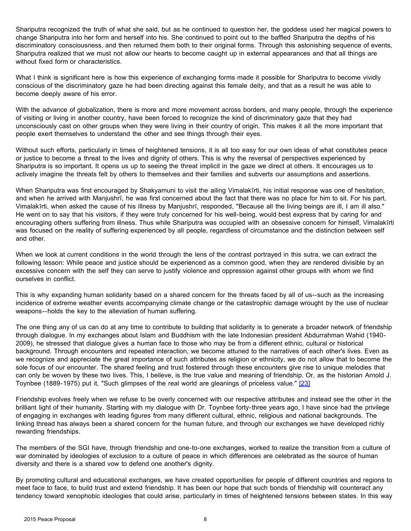<span id="page-7-0"></span>Shariputra recognized the truth of what she said, but as he continued to question her, the goddess used her magical powers to change Shariputra into her form and herself into his. She continued to point out to the baffled Shariputra the depths of his discriminatory consciousness, and then returned them both to their original forms. Through this astonishing sequence of events, Shariputra realized that we must not allow our hearts to become caught up in external appearances and that all things are without fixed form or characteristics.

What I think is significant here is how this experience of exchanging forms made it possible for Shariputra to become vividly conscious of the discriminatory gaze he had been directing against this female deity, and that as a result he was able to become deeply aware of his error.

With the advance of globalization, there is more and more movement across borders, and many people, through the experience of visiting or living in another country, have been forced to recognize the kind of discriminatory gaze that they had unconsciously cast on other groups when they were living in their country of origin. This makes it all the more important that people exert themselves to understand the other and see things through their eyes.

Without such efforts, particularly in times of heightened tensions, it is all too easy for our own ideas of what constitutes peace or justice to become a threat to the lives and dignity of others. This is why the reversal of perspectives experienced by Shariputra is so important. It opens us up to seeing the threat implicit in the gaze we direct at others. It encourages us to actively imagine the threats felt by others to themselves and their families and subverts our assumptions and assertions.

When Shariputra was first encouraged by Shakyamuni to visit the ailing Vimalakīrti, his initial response was one of hesitation, and when he arrived with Manjushrī, he was first concerned about the fact that there was no place for him to sit. For his part, Vimalakīrti, when asked the cause of his illness by Manjushrī, responded, "Because all the living beings are ill, I am ill also." He went on to say that his visitors, if they were truly concerned for his well-being, would best express that by caring for and encouraging others suffering from illness. Thus while Shariputra was occupied with an obsessive concern for himself, Vimalakīrti was focused on the reality of suffering experienced by all people, regardless of circumstance and the distinction between self and other.

When we look at current conditions in the world through the lens of the contrast portrayed in this sutra, we can extract the following lesson: While peace and justice should be experienced as a common good, when they are rendered divisible by an excessive concern with the self they can serve to justify violence and oppression against other groups with whom we find ourselves in conflict.

This is why expanding human solidarity based on a shared concern for the threats faced by all of us--such as the increasing incidence of extreme weather events accompanying climate change or the catastrophic damage wrought by the use of nuclear weapons--holds the key to the alleviation of human suffering.

The one thing any of us can do at any time to contribute to building that solidarity is to generate a broader network of friendship through dialogue. In my exchanges about Islam and Buddhism with the late Indonesian president Abdurrahman Wahid (1940- 2009), he stressed that dialogue gives a human face to those who may be from a different ethnic, cultural or historical background. Through encounters and repeated interaction, we become attuned to the narratives of each other's lives. Even as we recognize and appreciate the great importance of such attributes as religion or ethnicity, we do not allow that to become the sole focus of our encounter. The shared feeling and trust fostered through these encounters give rise to unique melodies that can only be woven by these two lives. This, I believe, is the true value and meaning of friendship. Or, as the historian Arnold J. Toynbee (1889-1975) put it, "Such glimpses of the real world are gleanings of priceless value." [\[23\]](#page-20-3)

Friendship evolves freely when we refuse to be overly concerned with our respective attributes and instead see the other in the brilliant light of their humanity. Starting with my dialogue with Dr. Toynbee forty-three years ago, I have since had the privilege of engaging in exchanges with leading figures from many different cultural, ethnic, religious and national backgrounds. The linking thread has always been a shared concern for the human future, and through our exchanges we have developed richly rewarding friendships.

The members of the SGI have, through friendship and one-to-one exchanges, worked to realize the transition from a culture of war dominated by ideologies of exclusion to a culture of peace in which differences are celebrated as the source of human diversity and there is a shared vow to defend one another's dignity.

By promoting cultural and educational exchanges, we have created opportunities for people of different countries and regions to meet face to face, to build trust and extend friendship. It has been our hope that such bonds of friendship will counteract any tendency toward xenophobic ideologies that could arise, particularly in times of heightened tensions between states. In this way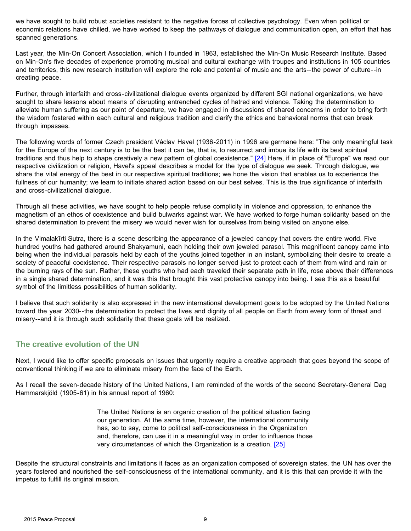<span id="page-8-0"></span>we have sought to build robust societies resistant to the negative forces of collective psychology. Even when political or economic relations have chilled, we have worked to keep the pathways of dialogue and communication open, an effort that has spanned generations.

Last year, the Min-On Concert Association, which I founded in 1963, established the Min-On Music Research Institute. Based on Min-On's five decades of experience promoting musical and cultural exchange with troupes and institutions in 105 countries and territories, this new research institution will explore the role and potential of music and the arts--the power of culture--in creating peace.

Further, through interfaith and cross-civilizational dialogue events organized by different SGI national organizations, we have sought to share lessons about means of disrupting entrenched cycles of hatred and violence. Taking the determination to alleviate human suffering as our point of departure, we have engaged in discussions of shared concerns in order to bring forth the wisdom fostered within each cultural and religious tradition and clarify the ethics and behavioral norms that can break through impasses.

The following words of former Czech president Václav Havel (1936-2011) in 1996 are germane here: "The only meaningful task for the Europe of the next century is to be the best it can be, that is, to resurrect and imbue its life with its best spiritual traditions and thus help to shape creatively a new pattern of global coexistence." [\[24\]](#page-20-3) Here, if in place of "Europe" we read our respective civilization or religion, Havel's appeal describes a model for the type of dialogue we seek. Through dialogue, we share the vital energy of the best in our respective spiritual traditions; we hone the vision that enables us to experience the fullness of our humanity; we learn to initiate shared action based on our best selves. This is the true significance of interfaith and cross-civilizational dialogue.

Through all these activities, we have sought to help people refuse complicity in violence and oppression, to enhance the magnetism of an ethos of coexistence and build bulwarks against war. We have worked to forge human solidarity based on the shared determination to prevent the misery we would never wish for ourselves from being visited on anyone else.

In the Vimalakīrti Sutra, there is a scene describing the appearance of a jeweled canopy that covers the entire world. Five hundred youths had gathered around Shakyamuni, each holding their own jeweled parasol. This magnificent canopy came into being when the individual parasols held by each of the youths joined together in an instant, symbolizing their desire to create a society of peaceful coexistence. Their respective parasols no longer served just to protect each of them from wind and rain or the burning rays of the sun. Rather, these youths who had each traveled their separate path in life, rose above their differences in a single shared determination, and it was this that brought this vast protective canopy into being. I see this as a beautiful symbol of the limitless possibilities of human solidarity.

I believe that such solidarity is also expressed in the new international development goals to be adopted by the United Nations toward the year 2030--the determination to protect the lives and dignity of all people on Earth from every form of threat and misery--and it is through such solidarity that these goals will be realized.

# **The creative evolution of the UN**

Next, I would like to offer specific proposals on issues that urgently require a creative approach that goes beyond the scope of conventional thinking if we are to eliminate misery from the face of the Earth.

As I recall the seven-decade history of the United Nations, I am reminded of the words of the second Secretary-General Dag Hammarskjöld (1905-61) in his annual report of 1960:

> The United Nations is an organic creation of the political situation facing our generation. At the same time, however, the international community has, so to say, come to political self-consciousness in the Organization and, therefore, can use it in a meaningful way in order to influence those very circumstances of which the Organization is a creation. [\[25\]](#page-20-1)

Despite the structural constraints and limitations it faces as an organization composed of sovereign states, the UN has over the years fostered and nourished the self-consciousness of the international community, and it is this that can provide it with the impetus to fulfill its original mission.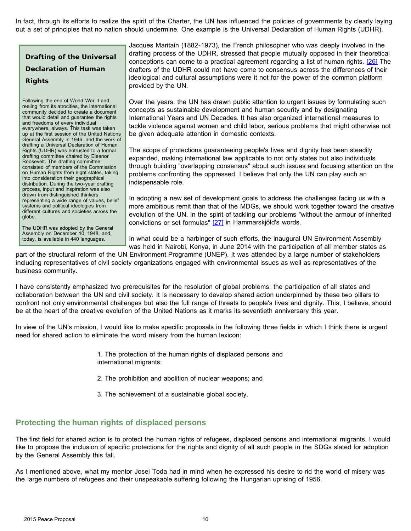<span id="page-9-0"></span>In fact, through its efforts to realize the spirit of the Charter, the UN has influenced the policies of governments by clearly laying out a set of principles that no nation should undermine. One example is the Universal Declaration of Human Rights (UDHR).

**Drafting of the Universal Declaration of Human Rights**

Following the end of World War II and reeling from its atrocities, the international community decided to create a document that would detail and guarantee the rights and freedoms of every individual everywhere, always. This task was taken up at the first session of the United Nations General Assembly in 1946, and the work of drafting a Universal Declaration of Human Rights (UDHR) was entrusted to a formal drafting committee chaired by Eleanor Roosevelt. The drafting committee consisted of members of the Commission on Human Rights from eight states, taking into consideration their geographical distribution. During the two-year drafting process, input and inspiration was also drawn from distinguished thinkers representing a wide range of values, belief systems and political ideologies from different cultures and societies across the globe.

The UDHR was adopted by the General Assembly on December 10, 1948, and, today, is available in 440 languages.

Jacques Maritain (1882-1973), the French philosopher who was deeply involved in the drafting process of the UDHR, stressed that people mutually opposed in their theoretical conceptions can come to a practical agreement regarding a list of human rights. [\[26\]](#page-20-3) The drafters of the UDHR could not have come to consensus across the differences of their ideological and cultural assumptions were it not for the power of the common platform provided by the UN.

Over the years, the UN has drawn public attention to urgent issues by formulating such concepts as sustainable development and human security and by designating International Years and UN Decades. It has also organized international measures to tackle violence against women and child labor, serious problems that might otherwise not be given adequate attention in domestic contexts.

The scope of protections guaranteeing people's lives and dignity has been steadily expanded, making international law applicable to not only states but also individuals through building "overlapping consensus" about such issues and focusing attention on the problems confronting the oppressed. I believe that only the UN can play such an indispensable role.

In adopting a new set of development goals to address the challenges facing us with a more ambitious remit than that of the MDGs, we should work together toward the creative evolution of the UN, in the spirit of tackling our problems "without the armour of inherited convictions or set formulas" [\[27\]](#page-20-3) in Hammarskjöld's words.

In what could be a harbinger of such efforts, the inaugural UN Environment Assembly was held in Nairobi, Kenya, in June 2014 with the participation of all member states as

part of the structural reform of the UN Environment Programme (UNEP). It was attended by a large number of stakeholders including representatives of civil society organizations engaged with environmental issues as well as representatives of the business community.

I have consistently emphasized two prerequisites for the resolution of global problems: the participation of all states and collaboration between the UN and civil society. It is necessary to develop shared action underpinned by these two pillars to confront not only environmental challenges but also the full range of threats to people's lives and dignity. This, I believe, should be at the heart of the creative evolution of the United Nations as it marks its seventieth anniversary this year.

In view of the UN's mission, I would like to make specific proposals in the following three fields in which I think there is urgent need for shared action to eliminate the word misery from the human lexicon:

> 1. The protection of the human rights of displaced persons and international migrants;

2. The prohibition and abolition of nuclear weapons; and

3. The achievement of a sustainable global society.

### **Protecting the human rights of displaced persons**

The first field for shared action is to protect the human rights of refugees, displaced persons and international migrants. I would like to propose the inclusion of specific protections for the rights and dignity of all such people in the SDGs slated for adoption by the General Assembly this fall.

As I mentioned above, what my mentor Josei Toda had in mind when he expressed his desire to rid the world of misery was the large numbers of refugees and their unspeakable suffering following the Hungarian uprising of 1956.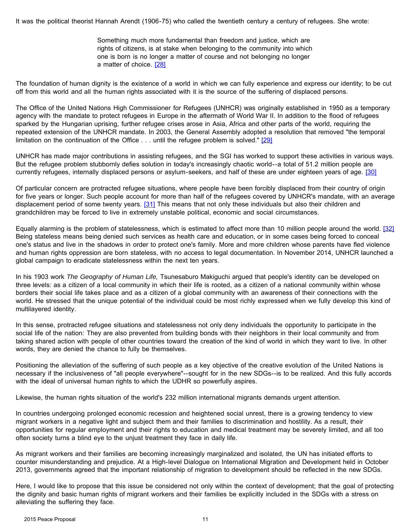<span id="page-10-0"></span>It was the political theorist Hannah Arendt (1906-75) who called the twentieth century a century of refugees. She wrote:

Something much more fundamental than freedom and justice, which are rights of citizens, is at stake when belonging to the community into which one is born is no longer a matter of course and not belonging no longer a matter of choice. [\[28\]](#page-20-1)

The foundation of human dignity is the existence of a world in which we can fully experience and express our identity; to be cut off from this world and all the human rights associated with it is the source of the suffering of displaced persons.

The Office of the United Nations High Commissioner for Refugees (UNHCR) was originally established in 1950 as a temporary agency with the mandate to protect refugees in Europe in the aftermath of World War II. In addition to the flood of refugees sparked by the Hungarian uprising, further refugee crises arose in Asia, Africa and other parts of the world, requiring the repeated extension of the UNHCR mandate. In 2003, the General Assembly adopted a resolution that removed "the temporal limitation on the continuation of the Office . . . until the refugee problem is solved." [\[29\]](#page-20-3)

UNHCR has made major contributions in assisting refugees, and the SGI has worked to support these activities in various ways. But the refugee problem stubbornly defies solution in today's increasingly chaotic world--a total of 51.2 million people are currently refugees, internally displaced persons or asylum-seekers, and half of these are under eighteen years of age. [\[30\]](#page-20-4)

Of particular concern are protracted refugee situations, where people have been forcibly displaced from their country of origin for five years or longer. Such people account for more than half of the refugees covered by UNHCR's mandate, with an average displacement period of some twenty years. [\[31\]](#page-20-4) This means that not only these individuals but also their children and grandchildren may be forced to live in extremely unstable political, economic and social circumstances.

Equally alarming is the problem of statelessness, which is estimated to affect more than 10 million people around the world. [\[32\]](#page-20-4) Being stateless means being denied such services as health care and education, or in some cases being forced to conceal one's status and live in the shadows in order to protect one's family. More and more children whose parents have fled violence and human rights oppression are born stateless, with no access to legal documentation. In November 2014, UNHCR launched a global campaign to eradicate statelessness within the next ten years.

In his 1903 work *The Geography of Human Life,* Tsunesaburo Makiguchi argued that people's identity can be developed on three levels: as a citizen of a local community in which their life is rooted, as a citizen of a national community within whose borders their social life takes place and as a citizen of a global community with an awareness of their connections with the world. He stressed that the unique potential of the individual could be most richly expressed when we fully develop this kind of multilayered identity.

In this sense, protracted refugee situations and statelessness not only deny individuals the opportunity to participate in the social life of the nation: They are also prevented from building bonds with their neighbors in their local community and from taking shared action with people of other countries toward the creation of the kind of world in which they want to live. In other words, they are denied the chance to fully be themselves.

Positioning the alleviation of the suffering of such people as a key objective of the creative evolution of the United Nations is necessary if the inclusiveness of "all people everywhere"--sought for in the new SDGs--is to be realized. And this fully accords with the ideal of universal human rights to which the UDHR so powerfully aspires.

Likewise, the human rights situation of the world's 232 million international migrants demands urgent attention.

In countries undergoing prolonged economic recession and heightened social unrest, there is a growing tendency to view migrant workers in a negative light and subject them and their families to discrimination and hostility. As a result, their opportunities for regular employment and their rights to education and medical treatment may be severely limited, and all too often society turns a blind eye to the unjust treatment they face in daily life.

As migrant workers and their families are becoming increasingly marginalized and isolated, the UN has initiated efforts to counter misunderstanding and prejudice. At a High-level Dialogue on International Migration and Development held in October 2013, governments agreed that the important relationship of migration to development should be reflected in the new SDGs.

Here, I would like to propose that this issue be considered not only within the context of development; that the goal of protecting the dignity and basic human rights of migrant workers and their families be explicitly included in the SDGs with a stress on alleviating the suffering they face.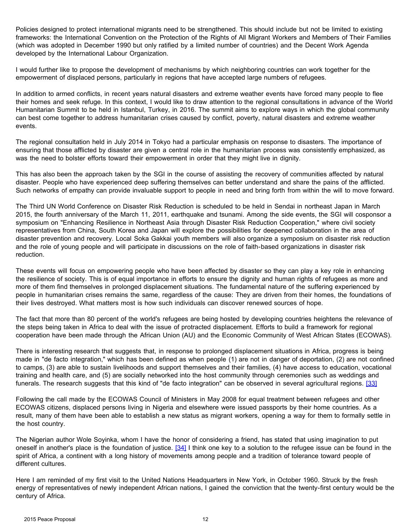<span id="page-11-0"></span>Policies designed to protect international migrants need to be strengthened. This should include but not be limited to existing frameworks: the International Convention on the Protection of the Rights of All Migrant Workers and Members of Their Families (which was adopted in December 1990 but only ratified by a limited number of countries) and the Decent Work Agenda developed by the International Labour Organization.

I would further like to propose the development of mechanisms by which neighboring countries can work together for the empowerment of displaced persons, particularly in regions that have accepted large numbers of refugees.

In addition to armed conflicts, in recent years natural disasters and extreme weather events have forced many people to flee their homes and seek refuge. In this context, I would like to draw attention to the regional consultations in advance of the World Humanitarian Summit to be held in Istanbul, Turkey, in 2016. The summit aims to explore ways in which the global community can best come together to address humanitarian crises caused by conflict, poverty, natural disasters and extreme weather events.

The regional consultation held in July 2014 in Tokyo had a particular emphasis on response to disasters. The importance of ensuring that those afflicted by disaster are given a central role in the humanitarian process was consistently emphasized, as was the need to bolster efforts toward their empowerment in order that they might live in dignity.

This has also been the approach taken by the SGI in the course of assisting the recovery of communities affected by natural disaster. People who have experienced deep suffering themselves can better understand and share the pains of the afflicted. Such networks of empathy can provide invaluable support to people in need and bring forth from within the will to move forward.

The Third UN World Conference on Disaster Risk Reduction is scheduled to be held in Sendai in northeast Japan in March 2015, the fourth anniversary of the March 11, 2011, earthquake and tsunami. Among the side events, the SGI will cosponsor a symposium on "Enhancing Resilience in Northeast Asia through Disaster Risk Reduction Cooperation," where civil society representatives from China, South Korea and Japan will explore the possibilities for deepened collaboration in the area of disaster prevention and recovery. Local Soka Gakkai youth members will also organize a symposium on disaster risk reduction and the role of young people and will participate in discussions on the role of faith-based organizations in disaster risk reduction.

These events will focus on empowering people who have been affected by disaster so they can play a key role in enhancing the resilience of society. This is of equal importance in efforts to ensure the dignity and human rights of refugees as more and more of them find themselves in prolonged displacement situations. The fundamental nature of the suffering experienced by people in humanitarian crises remains the same, regardless of the cause: They are driven from their homes, the foundations of their lives destroyed. What matters most is how such individuals can discover renewed sources of hope.

The fact that more than 80 percent of the world's refugees are being hosted by developing countries heightens the relevance of the steps being taken in Africa to deal with the issue of protracted displacement. Efforts to build a framework for regional cooperation have been made through the African Union (AU) and the Economic Community of West African States (ECOWAS).

There is interesting research that suggests that, in response to prolonged displacement situations in Africa, progress is being made in "de facto integration," which has been defined as when people (1) are not in danger of deportation, (2) are not confined to camps, (3) are able to sustain livelihoods and support themselves and their families, (4) have access to education, vocational training and health care, and (5) are socially networked into the host community through ceremonies such as weddings and funerals. The research suggests that this kind of "de facto integration" can be observed in several agricultural regions. [\[33\]](#page-20-4)

Following the call made by the ECOWAS Council of Ministers in May 2008 for equal treatment between refugees and other ECOWAS citizens, displaced persons living in Nigeria and elsewhere were issued passports by their home countries. As a result, many of them have been able to establish a new status as migrant workers, opening a way for them to formally settle in the host country.

The Nigerian author Wole Soyinka, whom I have the honor of considering a friend, has stated that using imagination to put oneself in another's place is the foundation of justice. [\[34\]](#page-20-4) I think one key to a solution to the refugee issue can be found in the spirit of Africa, a continent with a long history of movements among people and a tradition of tolerance toward people of different cultures.

Here I am reminded of my first visit to the United Nations Headquarters in New York, in October 1960. Struck by the fresh energy of representatives of newly independent African nations, I gained the conviction that the twenty-first century would be the century of Africa.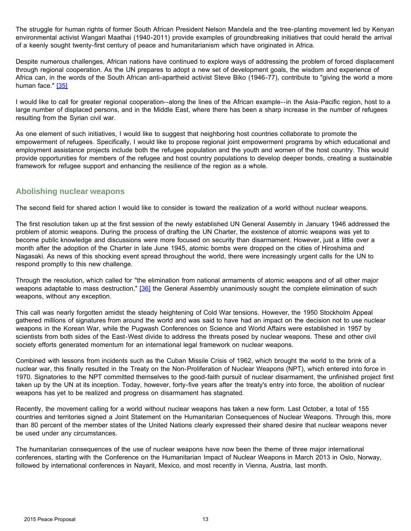<span id="page-12-0"></span>The struggle for human rights of former South African President Nelson Mandela and the tree-planting movement led by Kenyan environmental activist Wangari Maathai (1940-2011) provide examples of groundbreaking initiatives that could herald the arrival of a keenly sought twenty-first century of peace and humanitarianism which have originated in Africa.

Despite numerous challenges, African nations have continued to explore ways of addressing the problem of forced displacement through regional cooperation. As the UN prepares to adopt a new set of development goals, the wisdom and experience of Africa can, in the words of the South African anti-apartheid activist Steve Biko (1946-77), contribute to "giving the world a more human face." [\[35\]](#page-20-4)

I would like to call for greater regional cooperation--along the lines of the African example--in the Asia-Pacific region, host to a large number of displaced persons, and in the Middle East, where there has been a sharp increase in the number of refugees resulting from the Syrian civil war.

As one element of such initiatives, I would like to suggest that neighboring host countries collaborate to promote the empowerment of refugees. Specifically, I would like to propose regional joint empowerment programs by which educational and employment assistance projects include both the refugee population and the youth and women of the host country. This would provide opportunities for members of the refugee and host country populations to develop deeper bonds, creating a sustainable framework for refugee support and enhancing the resilience of the region as a whole.

#### **Abolishing nuclear weapons**

The second field for shared action I would like to consider is toward the realization of a world without nuclear weapons.

The first resolution taken up at the first session of the newly established UN General Assembly in January 1946 addressed the problem of atomic weapons. During the process of drafting the UN Charter, the existence of atomic weapons was yet to become public knowledge and discussions were more focused on security than disarmament. However, just a little over a month after the adoption of the Charter in late June 1945, atomic bombs were dropped on the cities of Hiroshima and Nagasaki. As news of this shocking event spread throughout the world, there were increasingly urgent calls for the UN to respond promptly to this new challenge.

Through the resolution, which called for "the elimination from national armaments of atomic weapons and of all other major weapons adaptable to mass destruction," [\[36\]](#page-20-4) the General Assembly unanimously sought the complete elimination of such weapons, without any exception.

This call was nearly forgotten amidst the steady heightening of Cold War tensions. However, the 1950 Stockholm Appeal gathered millions of signatures from around the world and was said to have had an impact on the decision not to use nuclear weapons in the Korean War, while the Pugwash Conferences on Science and World Affairs were established in 1957 by scientists from both sides of the East-West divide to address the threats posed by nuclear weapons. These and other civil society efforts generated momentum for an international legal framework on nuclear weapons.

Combined with lessons from incidents such as the Cuban Missile Crisis of 1962, which brought the world to the brink of a nuclear war, this finally resulted in the Treaty on the Non-Proliferation of Nuclear Weapons (NPT), which entered into force in 1970. Signatories to the NPT committed themselves to the good-faith pursuit of nuclear disarmament, the unfinished project first taken up by the UN at its inception. Today, however, forty-five years after the treaty's entry into force, the abolition of nuclear weapons has yet to be realized and progress on disarmament has stagnated.

Recently, the movement calling for a world without nuclear weapons has taken a new form. Last October, a total of 155 countries and territories signed a Joint Statement on the Humanitarian Consequences of Nuclear Weapons. Through this, more than 80 percent of the member states of the United Nations clearly expressed their shared desire that nuclear weapons never be used under any circumstances.

The humanitarian consequences of the use of nuclear weapons have now been the theme of three major international conferences, starting with the Conference on the Humanitarian Impact of Nuclear Weapons in March 2013 in Oslo, Norway, followed by international conferences in Nayarit, Mexico, and most recently in Vienna, Austria, last month.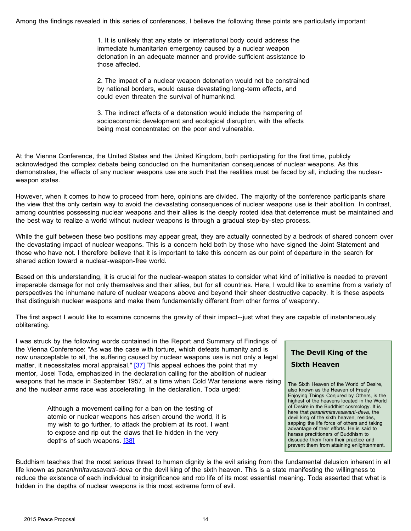<span id="page-13-0"></span>Among the findings revealed in this series of conferences, I believe the following three points are particularly important:

1. It is unlikely that any state or international body could address the immediate humanitarian emergency caused by a nuclear weapon detonation in an adequate manner and provide sufficient assistance to those affected.

2. The impact of a nuclear weapon detonation would not be constrained by national borders, would cause devastating long-term effects, and could even threaten the survival of humankind.

3. The indirect effects of a detonation would include the hampering of socioeconomic development and ecological disruption, with the effects being most concentrated on the poor and vulnerable.

At the Vienna Conference, the United States and the United Kingdom, both participating for the first time, publicly acknowledged the complex debate being conducted on the humanitarian consequences of nuclear weapons. As this demonstrates, the effects of any nuclear weapons use are such that the realities must be faced by all, including the nuclearweapon states.

However, when it comes to how to proceed from here, opinions are divided. The majority of the conference participants share the view that the only certain way to avoid the devastating consequences of nuclear weapons use is their abolition. In contrast, among countries possessing nuclear weapons and their allies is the deeply rooted idea that deterrence must be maintained and the best way to realize a world without nuclear weapons is through a gradual step-by-step process.

While the gulf between these two positions may appear great, they are actually connected by a bedrock of shared concern over the devastating impact of nuclear weapons. This is a concern held both by those who have signed the Joint Statement and those who have not. I therefore believe that it is important to take this concern as our point of departure in the search for shared action toward a nuclear-weapon-free world.

Based on this understanding, it is crucial for the nuclear-weapon states to consider what kind of initiative is needed to prevent irreparable damage for not only themselves and their allies, but for all countries. Here, I would like to examine from a variety of perspectives the inhumane nature of nuclear weapons above and beyond their sheer destructive capacity. It is these aspects that distinguish nuclear weapons and make them fundamentally different from other forms of weaponry.

The first aspect I would like to examine concerns the gravity of their impact--just what they are capable of instantaneously obliterating.

I was struck by the following words contained in the Report and Summary of Findings of the Vienna Conference: "As was the case with torture, which defeats humanity and is now unacceptable to all, the suffering caused by nuclear weapons use is not only a legal matter, it necessitates moral appraisal."  $[37]$  This appeal echoes the point that my mentor, Josei Toda, emphasized in the declaration calling for the abolition of nuclear weapons that he made in September 1957, at a time when Cold War tensions were rising and the nuclear arms race was accelerating. In the declaration, Toda urged:

> Although a movement calling for a ban on the testing of atomic or nuclear weapons has arisen around the world, it is my wish to go further, to attack the problem at its root. I want to expose and rip out the claws that lie hidden in the very depths of such weapons. [\[38\]](#page-20-1)



The Sixth Heaven of the World of Desire, also known as the Heaven of Freely Enjoying Things Conjured by Others, is the highest of the heavens located in the World of Desire in the Buddhist cosmology. It is here that *paranirmitavasavarti-deva,* the devil king of the sixth heaven, resides, sapping the life force of others and taking advantage of their efforts. He is said to harass practitioners of Buddhism to dissuade them from their practice and prevent them from attaining enlightenment.

Buddhism teaches that the most serious threat to human dignity is the evil arising from the fundamental delusion inherent in all life known as *paranirmitavasavarti-deva* or the devil king of the sixth heaven. This is a state manifesting the willingness to reduce the existence of each individual to insignificance and rob life of its most essential meaning. Toda asserted that what is hidden in the depths of nuclear weapons is this most extreme form of evil.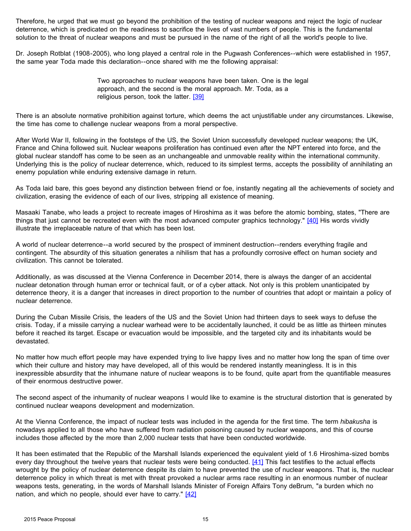<span id="page-14-0"></span>Therefore, he urged that we must go beyond the prohibition of the testing of nuclear weapons and reject the logic of nuclear deterrence, which is predicated on the readiness to sacrifice the lives of vast numbers of people. This is the fundamental solution to the threat of nuclear weapons and must be pursued in the name of the right of all the world's people to live.

Dr. Joseph Rotblat (1908-2005), who long played a central role in the Pugwash Conferences--which were established in 1957, the same year Toda made this declaration--once shared with me the following appraisal:

> Two approaches to nuclear weapons have been taken. One is the legal approach, and the second is the moral approach. Mr. Toda, as a religious person, took the latter. [\[39\]](#page-20-1)

There is an absolute normative prohibition against torture, which deems the act unjustifiable under any circumstances. Likewise, the time has come to challenge nuclear weapons from a moral perspective.

After World War II, following in the footsteps of the US, the Soviet Union successfully developed nuclear weapons; the UK, France and China followed suit. Nuclear weapons proliferation has continued even after the NPT entered into force, and the global nuclear standoff has come to be seen as an unchangeable and unmovable reality within the international community. Underlying this is the policy of nuclear deterrence, which, reduced to its simplest terms, accepts the possibility of annihilating an enemy population while enduring extensive damage in return.

As Toda laid bare, this goes beyond any distinction between friend or foe, instantly negating all the achievements of society and civilization, erasing the evidence of each of our lives, stripping all existence of meaning.

Masaaki Tanabe, who leads a project to recreate images of Hiroshima as it was before the atomic bombing, states, "There are things that just cannot be recreated even with the most advanced computer graphics technology." [\[40\]](#page-20-5) His words vividly illustrate the irreplaceable nature of that which has been lost.

A world of nuclear deterrence--a world secured by the prospect of imminent destruction--renders everything fragile and contingent. The absurdity of this situation generates a nihilism that has a profoundly corrosive effect on human society and civilization. This cannot be tolerated.

Additionally, as was discussed at the Vienna Conference in December 2014, there is always the danger of an accidental nuclear detonation through human error or technical fault, or of a cyber attack. Not only is this problem unanticipated by deterrence theory, it is a danger that increases in direct proportion to the number of countries that adopt or maintain a policy of nuclear deterrence.

During the Cuban Missile Crisis, the leaders of the US and the Soviet Union had thirteen days to seek ways to defuse the crisis. Today, if a missile carrying a nuclear warhead were to be accidentally launched, it could be as little as thirteen minutes before it reached its target. Escape or evacuation would be impossible, and the targeted city and its inhabitants would be devastated.

No matter how much effort people may have expended trying to live happy lives and no matter how long the span of time over which their culture and history may have developed, all of this would be rendered instantly meaningless. It is in this inexpressible absurdity that the inhumane nature of nuclear weapons is to be found, quite apart from the quantifiable measures of their enormous destructive power.

The second aspect of the inhumanity of nuclear weapons I would like to examine is the structural distortion that is generated by continued nuclear weapons development and modernization.

At the Vienna Conference, the impact of nuclear tests was included in the agenda for the first time. The term *hibakusha* is nowadays applied to all those who have suffered from radiation poisoning caused by nuclear weapons, and this of course includes those affected by the more than 2,000 nuclear tests that have been conducted worldwide.

It has been estimated that the Republic of the Marshall Islands experienced the equivalent yield of 1.6 Hiroshima-sized bombs every day throughout the twelve years that nuclear tests were being conducted. [\[41\]](#page-20-5) This fact testifies to the actual effects wrought by the policy of nuclear deterrence despite its claim to have prevented the use of nuclear weapons. That is, the nuclear deterrence policy in which threat is met with threat provoked a nuclear arms race resulting in an enormous number of nuclear weapons tests, generating, in the words of Marshall Islands Minister of Foreign Affairs Tony deBrum, "a burden which no nation, and which no people, should ever have to carry."  $[42]$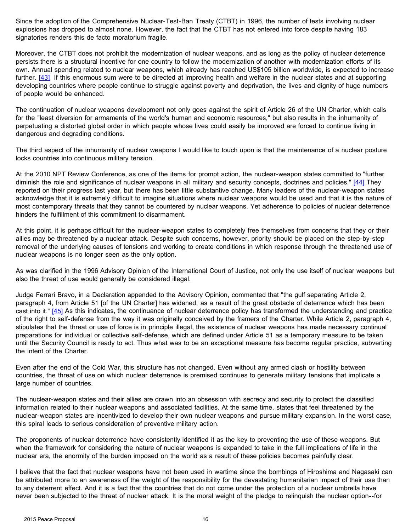<span id="page-15-0"></span>Since the adoption of the Comprehensive Nuclear-Test-Ban Treaty (CTBT) in 1996, the number of tests involving nuclear explosions has dropped to almost none. However, the fact that the CTBT has not entered into force despite having 183 signatories renders this de facto moratorium fragile.

Moreover, the CTBT does not prohibit the modernization of nuclear weapons, and as long as the policy of nuclear deterrence persists there is a structural incentive for one country to follow the modernization of another with modernization efforts of its own. Annual spending related to nuclear weapons, which already has reached US\$105 billion worldwide, is expected to increase further. [\[43\]](#page-20-5) If this enormous sum were to be directed at improving health and welfare in the nuclear states and at supporting developing countries where people continue to struggle against poverty and deprivation, the lives and dignity of huge numbers of people would be enhanced.

The continuation of nuclear weapons development not only goes against the spirit of Article 26 of the UN Charter, which calls for the "least diversion for armaments of the world's human and economic resources," but also results in the inhumanity of perpetuating a distorted global order in which people whose lives could easily be improved are forced to continue living in dangerous and degrading conditions.

The third aspect of the inhumanity of nuclear weapons I would like to touch upon is that the maintenance of a nuclear posture locks countries into continuous military tension.

At the 2010 NPT Review Conference, as one of the items for prompt action, the nuclear-weapon states committed to "further diminish the role and significance of nuclear weapons in all military and security concepts, doctrines and policies." [\[44\]](#page-20-5) They reported on their progress last year, but there has been little substantive change. Many leaders of the nuclear-weapon states acknowledge that it is extremely difficult to imagine situations where nuclear weapons would be used and that it is the nature of most contemporary threats that they cannot be countered by nuclear weapons. Yet adherence to policies of nuclear deterrence hinders the fulfillment of this commitment to disarmament.

At this point, it is perhaps difficult for the nuclear-weapon states to completely free themselves from concerns that they or their allies may be threatened by a nuclear attack. Despite such concerns, however, priority should be placed on the step-by-step removal of the underlying causes of tensions and working to create conditions in which response through the threatened use of nuclear weapons is no longer seen as the only option.

As was clarified in the 1996 Advisory Opinion of the International Court of Justice, not only the use itself of nuclear weapons but also the threat of use would generally be considered illegal.

Judge Ferrari Bravo, in a Declaration appended to the Advisory Opinion, commented that "the gulf separating Article 2, paragraph 4, from Article 51 [of the UN Charter] has widened, as a result of the great obstacle of deterrence which has been cast into it." [\[45\]](#page-20-5) As this indicates, the continuance of nuclear deterrence policy has transformed the understanding and practice of the right to self-defense from the way it was originally conceived by the framers of the Charter. While Article 2, paragraph 4, stipulates that the threat or use of force is in principle illegal, the existence of nuclear weapons has made necessary continual preparations for individual or collective self-defense, which are defined under Article 51 as a temporary measure to be taken until the Security Council is ready to act. Thus what was to be an exceptional measure has become regular practice, subverting the intent of the Charter.

Even after the end of the Cold War, this structure has not changed. Even without any armed clash or hostility between countries, the threat of use on which nuclear deterrence is premised continues to generate military tensions that implicate a large number of countries.

The nuclear-weapon states and their allies are drawn into an obsession with secrecy and security to protect the classified information related to their nuclear weapons and associated facilities. At the same time, states that feel threatened by the nuclear-weapon states are incentivized to develop their own nuclear weapons and pursue military expansion. In the worst case, this spiral leads to serious consideration of preventive military action.

The proponents of nuclear deterrence have consistently identified it as the key to preventing the use of these weapons. But when the framework for considering the nature of nuclear weapons is expanded to take in the full implications of life in the nuclear era, the enormity of the burden imposed on the world as a result of these policies becomes painfully clear.

I believe that the fact that nuclear weapons have not been used in wartime since the bombings of Hiroshima and Nagasaki can be attributed more to an awareness of the weight of the responsibility for the devastating humanitarian impact of their use than to any deterrent effect. And it is a fact that the countries that do not come under the protection of a nuclear umbrella have never been subjected to the threat of nuclear attack. It is the moral weight of the pledge to relinquish the nuclear option--for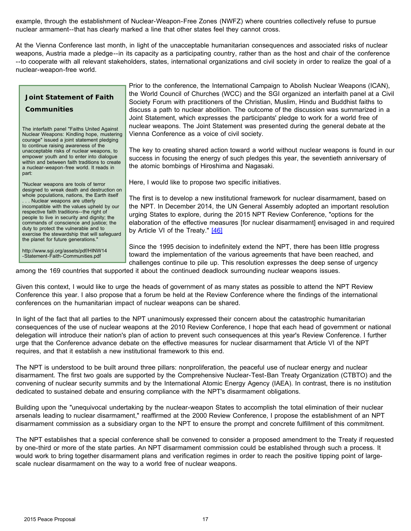<span id="page-16-0"></span>example, through the establishment of Nuclear-Weapon-Free Zones (NWFZ) where countries collectively refuse to pursue nuclear armament--that has clearly marked a line that other states feel they cannot cross.

At the Vienna Conference last month, in light of the unacceptable humanitarian consequences and associated risks of nuclear weapons, Austria made a pledge--in its capacity as a participating country, rather than as the host and chair of the conference --to cooperate with all relevant stakeholders, states, international organizations and civil society in order to realize the goal of a nuclear-weapon-free world.

#### **Joint Statement of Faith**

#### **Communities**

The interfaith panel "Faiths United Against Nuclear Weapons: Kindling hope, mustering courage" issued a joint statement pledging to continue raising awareness of the unacceptable risks of nuclear weapons, to empower youth and to enter into dialogue within and between faith traditions to create a nuclear-weapon-free world. It reads in part:

"Nuclear weapons are tools of terror designed to wreak death and destruction on whole populations, nations, the Earth itself .. Nuclear weapons are utterly incompatible with the values upheld by our respective faith traditions--the right of people to live in security and dignity; the commands of conscience and justice; the duty to protect the vulnerable and to exercise the stewardship that will safeguard the planet for future generations."

http://www.sgi.org/assets/pdf/HINW14 -Statement-Faith-Communities.pdf

Prior to the conference, the International Campaign to Abolish Nuclear Weapons (ICAN), the World Council of Churches (WCC) and the SGI organized an interfaith panel at a Civil Society Forum with practitioners of the Christian, Muslim, Hindu and Buddhist faiths to discuss a path to nuclear abolition. The outcome of the discussion was summarized in a Joint Statement, which expresses the participants' pledge to work for a world free of nuclear weapons. The Joint Statement was presented during the general debate at the Vienna Conference as a voice of civil society.

The key to creating shared action toward a world without nuclear weapons is found in our success in focusing the energy of such pledges this year, the seventieth anniversary of the atomic bombings of Hiroshima and Nagasaki.

Here, I would like to propose two specific initiatives.

The first is to develop a new institutional framework for nuclear disarmament, based on the NPT. In December 2014, the UN General Assembly adopted an important resolution urging States to explore, during the 2015 NPT Review Conference, "options for the elaboration of the effective measures [for nuclear disarmament] envisaged in and required by Article VI of the Treaty." [\[46\]](#page-20-5)

Since the 1995 decision to indefinitely extend the NPT, there has been little progress toward the implementation of the various agreements that have been reached, and challenges continue to pile up. This resolution expresses the deep sense of urgency

among the 169 countries that supported it about the continued deadlock surrounding nuclear weapons issues.

Given this context, I would like to urge the heads of government of as many states as possible to attend the NPT Review Conference this year. I also propose that a forum be held at the Review Conference where the findings of the international conferences on the humanitarian impact of nuclear weapons can be shared.

In light of the fact that all parties to the NPT unanimously expressed their concern about the catastrophic humanitarian consequences of the use of nuclear weapons at the 2010 Review Conference, I hope that each head of government or national delegation will introduce their nation's plan of action to prevent such consequences at this year's Review Conference. I further urge that the Conference advance debate on the effective measures for nuclear disarmament that Article VI of the NPT requires, and that it establish a new institutional framework to this end.

The NPT is understood to be built around three pillars: nonproliferation, the peaceful use of nuclear energy and nuclear disarmament. The first two goals are supported by the Comprehensive Nuclear-Test-Ban Treaty Organization (CTBTO) and the convening of nuclear security summits and by the International Atomic Energy Agency (IAEA). In contrast, there is no institution dedicated to sustained debate and ensuring compliance with the NPT's disarmament obligations.

Building upon the "unequivocal undertaking by the nuclear-weapon States to accomplish the total elimination of their nuclear arsenals leading to nuclear disarmament," reaffirmed at the 2000 Review Conference, I propose the establishment of an NPT disarmament commission as a subsidiary organ to the NPT to ensure the prompt and concrete fulfillment of this commitment.

The NPT establishes that a special conference shall be convened to consider a proposed amendment to the Treaty if requested by one-third or more of the state parties. An NPT disarmament commission could be established through such a process. It would work to bring together disarmament plans and verification regimes in order to reach the positive tipping point of largescale nuclear disarmament on the way to a world free of nuclear weapons.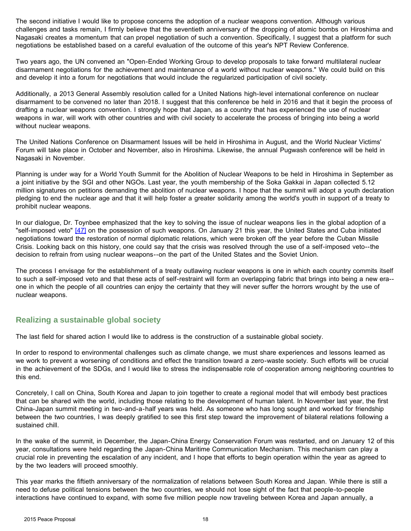<span id="page-17-0"></span>The second initiative I would like to propose concerns the adoption of a nuclear weapons convention. Although various challenges and tasks remain, I firmly believe that the seventieth anniversary of the dropping of atomic bombs on Hiroshima and Nagasaki creates a momentum that can propel negotiation of such a convention. Specifically, I suggest that a platform for such negotiations be established based on a careful evaluation of the outcome of this year's NPT Review Conference.

Two years ago, the UN convened an "Open-Ended Working Group to develop proposals to take forward multilateral nuclear disarmament negotiations for the achievement and maintenance of a world without nuclear weapons." We could build on this and develop it into a forum for negotiations that would include the regularized participation of civil society.

Additionally, a 2013 General Assembly resolution called for a United Nations high-level international conference on nuclear disarmament to be convened no later than 2018. I suggest that this conference be held in 2016 and that it begin the process of drafting a nuclear weapons convention. I strongly hope that Japan, as a country that has experienced the use of nuclear weapons in war, will work with other countries and with civil society to accelerate the process of bringing into being a world without nuclear weapons.

The United Nations Conference on Disarmament Issues will be held in Hiroshima in August, and the World Nuclear Victims' Forum will take place in October and November, also in Hiroshima. Likewise, the annual Pugwash conference will be held in Nagasaki in November.

Planning is under way for a World Youth Summit for the Abolition of Nuclear Weapons to be held in Hiroshima in September as a joint initiative by the SGI and other NGOs. Last year, the youth membership of the Soka Gakkai in Japan collected 5.12 million signatures on petitions demanding the abolition of nuclear weapons. I hope that the summit will adopt a youth declaration pledging to end the nuclear age and that it will help foster a greater solidarity among the world's youth in support of a treaty to prohibit nuclear weapons.

In our dialogue, Dr. Toynbee emphasized that the key to solving the issue of nuclear weapons lies in the global adoption of a "self-imposed veto" [\[47\]](#page-20-5) on the possession of such weapons. On January 21 this year, the United States and Cuba initiated negotiations toward the restoration of normal diplomatic relations, which were broken off the year before the Cuban Missile Crisis. Looking back on this history, one could say that the crisis was resolved through the use of a self-imposed veto--the decision to refrain from using nuclear weapons--on the part of the United States and the Soviet Union.

The process I envisage for the establishment of a treaty outlawing nuclear weapons is one in which each country commits itself to such a self-imposed veto and that these acts of self-restraint will form an overlapping fabric that brings into being a new era- one in which the people of all countries can enjoy the certainty that they will never suffer the horrors wrought by the use of nuclear weapons.

# **Realizing a sustainable global society**

The last field for shared action I would like to address is the construction of a sustainable global society.

In order to respond to environmental challenges such as climate change, we must share experiences and lessons learned as we work to prevent a worsening of conditions and effect the transition toward a zero-waste society. Such efforts will be crucial in the achievement of the SDGs, and I would like to stress the indispensable role of cooperation among neighboring countries to this end.

Concretely, I call on China, South Korea and Japan to join together to create a regional model that will embody best practices that can be shared with the world, including those relating to the development of human talent. In November last year, the first China-Japan summit meeting in two-and-a-half years was held. As someone who has long sought and worked for friendship between the two countries, I was deeply gratified to see this first step toward the improvement of bilateral relations following a sustained chill.

In the wake of the summit, in December, the Japan-China Energy Conservation Forum was restarted, and on January 12 of this year, consultations were held regarding the Japan-China Maritime Communication Mechanism. This mechanism can play a crucial role in preventing the escalation of any incident, and I hope that efforts to begin operation within the year as agreed to by the two leaders will proceed smoothly.

This year marks the fiftieth anniversary of the normalization of relations between South Korea and Japan. While there is still a need to defuse political tensions between the two countries, we should not lose sight of the fact that people-to-people interactions have continued to expand, with some five million people now traveling between Korea and Japan annually, a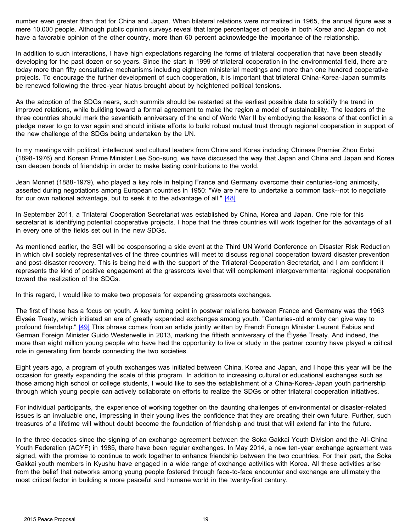<span id="page-18-0"></span>number even greater than that for China and Japan. When bilateral relations were normalized in 1965, the annual figure was a mere 10,000 people. Although public opinion surveys reveal that large percentages of people in both Korea and Japan do not have a favorable opinion of the other country, more than 60 percent acknowledge the importance of the relationship.

In addition to such interactions, I have high expectations regarding the forms of trilateral cooperation that have been steadily developing for the past dozen or so years. Since the start in 1999 of trilateral cooperation in the environmental field, there are today more than fifty consultative mechanisms including eighteen ministerial meetings and more than one hundred cooperative projects. To encourage the further development of such cooperation, it is important that trilateral China-Korea-Japan summits be renewed following the three-year hiatus brought about by heightened political tensions.

As the adoption of the SDGs nears, such summits should be restarted at the earliest possible date to solidify the trend in improved relations, while building toward a formal agreement to make the region a model of sustainability. The leaders of the three countries should mark the seventieth anniversary of the end of World War II by embodying the lessons of that conflict in a pledge never to go to war again and should initiate efforts to build robust mutual trust through regional cooperation in support of the new challenge of the SDGs being undertaken by the UN.

In my meetings with political, intellectual and cultural leaders from China and Korea including Chinese Premier Zhou Enlai (1898-1976) and Korean Prime Minister Lee Soo-sung, we have discussed the way that Japan and China and Japan and Korea can deepen bonds of friendship in order to make lasting contributions to the world.

Jean Monnet (1888-1979), who played a key role in helping France and Germany overcome their centuries-long animosity, asserted during negotiations among European countries in 1950: "We are here to undertake a common task--not to negotiate for our own national advantage, but to seek it to the advantage of all." [\[48\]](#page-20-5)

In September 2011, a Trilateral Cooperation Secretariat was established by China, Korea and Japan. One role for this secretariat is identifying potential cooperative projects. I hope that the three countries will work together for the advantage of all in every one of the fields set out in the new SDGs.

As mentioned earlier, the SGI will be cosponsoring a side event at the Third UN World Conference on Disaster Risk Reduction in which civil society representatives of the three countries will meet to discuss regional cooperation toward disaster prevention and post-disaster recovery. This is being held with the support of the Trilateral Cooperation Secretariat, and I am confident it represents the kind of positive engagement at the grassroots level that will complement intergovernmental regional cooperation toward the realization of the SDGs.

In this regard, I would like to make two proposals for expanding grassroots exchanges.

The first of these has a focus on youth. A key turning point in postwar relations between France and Germany was the 1963 Élysée Treaty, which initiated an era of greatly expanded exchanges among youth. "Centuries-old enmity can give way to profound friendship." [\[49\]](#page-20-5) This phrase comes from an article jointly written by French Foreign Minister Laurent Fabius and German Foreign Minister Guido Westerwelle in 2013, marking the fiftieth anniversary of the Élysée Treaty. And indeed, the more than eight million young people who have had the opportunity to live or study in the partner country have played a critical role in generating firm bonds connecting the two societies.

Eight years ago, a program of youth exchanges was initiated between China, Korea and Japan, and I hope this year will be the occasion for greatly expanding the scale of this program. In addition to increasing cultural or educational exchanges such as those among high school or college students, I would like to see the establishment of a China-Korea-Japan youth partnership through which young people can actively collaborate on efforts to realize the SDGs or other trilateral cooperation initiatives.

For individual participants, the experience of working together on the daunting challenges of environmental or disaster-related issues is an invaluable one, impressing in their young lives the confidence that they are creating their own future. Further, such treasures of a lifetime will without doubt become the foundation of friendship and trust that will extend far into the future.

In the three decades since the signing of an exchange agreement between the Soka Gakkai Youth Division and the All-China Youth Federation (ACYF) in 1985, there have been regular exchanges. In May 2014, a new ten-year exchange agreement was signed, with the promise to continue to work together to enhance friendship between the two countries. For their part, the Soka Gakkai youth members in Kyushu have engaged in a wide range of exchange activities with Korea. All these activities arise from the belief that networks among young people fostered through face-to-face encounter and exchange are ultimately the most critical factor in building a more peaceful and humane world in the twenty-first century.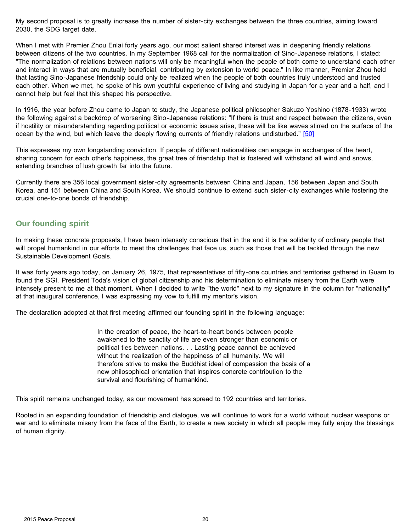<span id="page-19-0"></span>My second proposal is to greatly increase the number of sister-city exchanges between the three countries, aiming toward 2030, the SDG target date.

When I met with Premier Zhou Enlai forty years ago, our most salient shared interest was in deepening friendly relations between citizens of the two countries. In my September 1968 call for the normalization of Sino-Japanese relations, I stated: "The normalization of relations between nations will only be meaningful when the people of both come to understand each other and interact in ways that are mutually beneficial, contributing by extension to world peace." In like manner, Premier Zhou held that lasting Sino-Japanese friendship could only be realized when the people of both countries truly understood and trusted each other. When we met, he spoke of his own youthful experience of living and studying in Japan for a year and a half, and I cannot help but feel that this shaped his perspective.

In 1916, the year before Zhou came to Japan to study, the Japanese political philosopher Sakuzo Yoshino (1878-1933) wrote the following against a backdrop of worsening Sino-Japanese relations: "If there is trust and respect between the citizens, even if hostility or misunderstanding regarding political or economic issues arise, these will be like waves stirred on the surface of the ocean by the wind, but which leave the deeply flowing currents of friendly relations undisturbed." [\[50\]](#page-20-5)

This expresses my own longstanding conviction. If people of different nationalities can engage in exchanges of the heart, sharing concern for each other's happiness, the great tree of friendship that is fostered will withstand all wind and snows, extending branches of lush growth far into the future.

Currently there are 356 local government sister-city agreements between China and Japan, 156 between Japan and South Korea, and 151 between China and South Korea. We should continue to extend such sister-city exchanges while fostering the crucial one-to-one bonds of friendship.

### **Our founding spirit**

In making these concrete proposals, I have been intensely conscious that in the end it is the solidarity of ordinary people that will propel humankind in our efforts to meet the challenges that face us, such as those that will be tackled through the new Sustainable Development Goals.

It was forty years ago today, on January 26, 1975, that representatives of fifty-one countries and territories gathered in Guam to found the SGI. President Toda's vision of global citizenship and his determination to eliminate misery from the Earth were intensely present to me at that moment. When I decided to write "the world" next to my signature in the column for "nationality" at that inaugural conference, I was expressing my vow to fulfill my mentor's vision.

The declaration adopted at that first meeting affirmed our founding spirit in the following language:

In the creation of peace, the heart-to-heart bonds between people awakened to the sanctity of life are even stronger than economic or political ties between nations. . . Lasting peace cannot be achieved without the realization of the happiness of all humanity. We will therefore strive to make the Buddhist ideal of compassion the basis of a new philosophical orientation that inspires concrete contribution to the survival and flourishing of humankind.

This spirit remains unchanged today, as our movement has spread to 192 countries and territories.

Rooted in an expanding foundation of friendship and dialogue, we will continue to work for a world without nuclear weapons or war and to eliminate misery from the face of the Earth, to create a new society in which all people may fully enjoy the blessings of human dignity.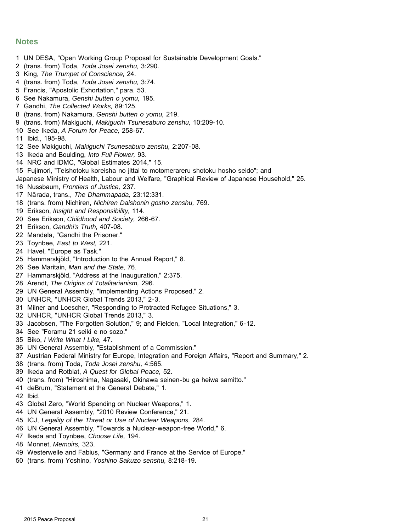### <span id="page-20-1"></span>**Notes**

- <span id="page-20-0"></span>1 [UN DESA, "Open Working Group Proposal for Sustainable Development Goals."](#page-0-0)
- 2 [\(trans. from\) Toda,](#page-0-0) *Toda Josei zenshu,* 3:290.
- 3 King, *[The Trumpet of Conscience,](#page-0-0)* 24.
- 4 (trans. from) Toda, *[Toda Josei zenshu,](#page-0-0)* 3:74.
- 5 [Francis, "Apostolic Exhortation," para. 53.](#page-1-0)
- 6 See Nakamura, *[Genshi butten o yomu,](#page-1-0)* 195.
- 7 Gandhi, *[The Collected Works,](#page-2-0)* 89:125.
- 8 (trans. from) Nakamura, *[Genshi butten o yomu,](#page-2-0)* 219.
- 9 (trans. from) Makiguchi, *[Makiguchi Tsunesaburo zenshu,](#page-2-0)* 10:209-10.
- <span id="page-20-2"></span>10 See Ikeda, *[A Forum for Peace,](#page-3-0)* 258-67.
- 11 [Ibid., 195-98](#page-3-0).
- 12 See Makiguchi, *[Makiguchi Tsunesaburo zenshu,](#page-3-0)* 2:207-08.
- 13 I[keda and Boulding,](#page-3-0) *Into Full Flower,* 93.
- 14 [NRC and IDMC, "Global Estimates 2014," 15](#page-3-0).
- 15 Fujimori, ["Teishotoku koreisha no jittai to motomerareru shotoku hosho seido"; and](#page-3-0)
- Japanese Ministry of Health, Labour and Welfare, "Graphical Review of Japanese Household," 25.
- 16 Nussbaum, *[Frontiers of Justice,](#page-4-0)* 237.
- 17 Nārada, trans., *[The Dhammapada,](#page-4-0)* 23:12:331.
- 18 (trans. from) Nichiren, *[Nichiren Daishonin gosho zenshu,](#page-4-0)* 769.
- 19 Erikson, *[Insight and Responsibility,](#page-4-0)* 114.
- <span id="page-20-3"></span>20 See Erikson, *[Childhood and Society,](#page-4-0)* 266-67.
- 21 Erikson, *[Gandhi's Truth,](#page-5-0)* 407-08.
- 22 [Mandela, "Gandhi the Prisone](#page-5-0)r."
- 23 Toynbee, *[East to West,](#page-7-0)* 221.
- 24 H[avel, "Europe as Task.](#page-8-0)"
- 25 [Hammarskjöld, "Introduction to the Annual Report,"](#page-8-0) 8.
- 26 See Maritain, *[Man and the State,](#page-9-0)* 76.
- 27 [Hammarskjöld, "Address at the Inauguration," 2:375](#page-9-0).
- 28 Arendt, *[The Origins of Totalitarianism,](#page-10-0)* 296.
- 29 [UN General Assembly, "Implementing Actions Proposed," 2](#page-10-0).
- <span id="page-20-4"></span>30 [UNHCR, "UNHCR Global Trends 2013," 2-3.](#page-10-0)
- 31 [Milner and Loescher, "Responding to Protracted Refugee Situations," 3](#page-10-0).
- 32 [UNHCR, "UNHCR Global Trends 2013," 3](#page-10-0).
- 33 [Jacobsen, "The Forgotten Solution," 9; and Fielden, "Local Integration," 6-12](#page-11-0).
- 34 [See "Foramu 21 seiki e no sozo.](#page-11-0)"
- 35 Biko, *[I Write What I Like,](#page-12-0)* 47.
- 36 [UN General Assembly, "Establishment of a Commission.](#page-12-0)"
- 37 [Austrian Federal Ministry for Europe, Integration and Foreign Affairs, "Report and Summary," 2](#page-13-0).
- 38 (trans. from) Toda, *[Toda Josei zenshu,](#page-13-0)* 4:565.
- 39 Ikeda and Rotblat, *[A Quest for Global Peace,](#page-14-0)* 52.
- <span id="page-20-5"></span>40 [\(trans. from\) "Hiroshima, Nagasaki, Okinawa seinen-bu ga heiwa samitto."](#page-14-0)
- 41 [deBrum, "Statement at the General Debate," 1](#page-14-0).
- 42 [Ibid.](#page-14-0)
- 43 [Global Zero, "World Spending on Nuclear Weapons," 1](#page-15-0).
- 44 [UN General Assembly, "2010 Review Conference," 2](#page-15-0)1.
- 45 ICJ, *[Legality of the Threat or Use of Nuclear Weapons,](#page-15-0)* 284.
- 46 [UN General Assembly, "Towards a Nuclear-weapon-free World," 6](#page-16-0).
- 47 [Ikeda and Toynbee,](#page-17-0) *Choose Life,* 194.
- 48 Monnet, *[Memoirs,](#page-18-0)* 323.
- 49 [Westerwelle and Fabius, "Germany and France at the Service of Europe.](#page-18-0)"
- 50 (trans. from) Yoshino, *[Yoshino Sakuzo senshu,](#page-19-0)* 8:218-19.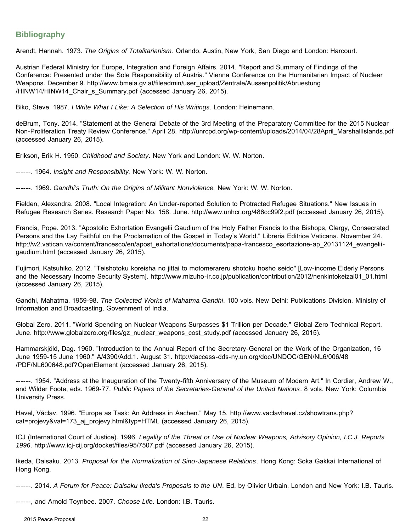# **Bibliography**

Arendt, Hannah. 1973. *The Origins of Totalitarianism.* Orlando, Austin, New York, San Diego and London: Harcourt.

Austrian Federal Ministry for Europe, Integration and Foreign Affairs. 2014. "Report and Summary of Findings of the Conference: Presented under the Sole Responsibility of Austria." Vienna Conference on the Humanitarian Impact of Nuclear Weapons. December 9. [http://www.bmeia.gv.at/fileadmin/user\\_upload/Zentrale/Aussenpolitik/Abruestung](http://www.bmeia.gv.at/fileadmin/user_upload/Zentrale/Aussenpolitik/Abruestung/HINW14/HINW14_Chair_s_Summary.pdf) [/HINW14/HINW14\\_Chair\\_s\\_Summary.pdf](http://www.bmeia.gv.at/fileadmin/user_upload/Zentrale/Aussenpolitik/Abruestung/HINW14/HINW14_Chair_s_Summary.pdf) (accessed January 26, 2015).

Biko, Steve. 1987. *I Write What I Like: A Selection of His Writings*. London: Heinemann.

deBrum, Tony. 2014. "Statement at the General Debate of the 3rd Meeting of the Preparatory Committee for the 2015 Nuclear Non-Proliferation Treaty Review Conference." April 28. http://unrcpd.org/wp-content/uploads/2014/04/28April\_MarshallIslands.pdf (accessed January 26, 2015).

Erikson, Erik H. 1950. *Childhood and Society*. New York and London: W. W. Norton.

------. 1964. *Insight and Responsibility.* New York: W. W. Norton.

------. 1969. *Gandhi's Truth: On the Origins of Militant Nonviolence.* New York: W. W. Norton.

Fielden, Alexandra. 2008. "Local Integration: An Under-reported Solution to Protracted Refugee Situations." New Issues in Refugee Research Series. Research Paper No. 158. June. http://www.unhcr.org/486cc99f2.pdf (accessed January 26, 2015).

Francis, Pope. 2013. "Apostolic Exhortation Evangelii Gaudium of the Holy Father Francis to the Bishops, Clergy, Consecrated Persons and the Lay Faithful on the Proclamation of the Gospel in Today's World." Libreria Editrice Vaticana. November 24. http://w2.vatican.va/content/francesco/en/apost\_exhortations/documents/papa-francesco\_esortazione-ap\_20131124\_evangeliigaudium.html (accessed January 26, 2015).

Fujimori, Katsuhiko. 2012. "Teishotoku koreisha no jittai to motomerareru shotoku hosho seido" [Low-income Elderly Persons and the Necessary Income Security System]. http://www.mizuho-ir.co.jp/publication/contribution/2012/nenkintokeizai01\_01.html (accessed January 26, 2015).

Gandhi, Mahatma. 1959-98. *The Collected Works of Mahatma Gandhi*. 100 vols. New Delhi: Publications Division, Ministry of Information and Broadcasting, Government of India.

Global Zero. 2011. "World Spending on Nuclear Weapons Surpasses \$1 Trillion per Decade." Global Zero Technical Report. June. http://www.globalzero.org/files/gz\_nuclear\_weapons\_cost\_study.pdf (accessed January 26, 2015).

Hammarskjöld, Dag. 1960. "Introduction to the Annual Report of the Secretary-General on the Work of the Organization, 16 June 1959-15 June 1960." A/4390/Add.1. August 31. [http://daccess-dds-ny.un.org/doc/UNDOC/GEN/NL6/006/48](http://daccess-dds-ny.un.org/doc/UNDOC/GEN/NL6/006/48/PDF/NL600648.pdf?OpenElement) [/PDF/NL600648.pdf?OpenElement](http://daccess-dds-ny.un.org/doc/UNDOC/GEN/NL6/006/48/PDF/NL600648.pdf?OpenElement) (accessed January 26, 2015).

------. 1954. "Address at the Inauguration of the Twenty-fifth Anniversary of the Museum of Modern Art." In Cordier, Andrew W., and Wilder Foote, eds. 1969-77. *Public Papers of the Secretaries-General of the United Nations*. 8 vols. New York: Columbia University Press.

Havel, Václav. 1996. "Europe as Task: An Address in Aachen." May 15. [http://www.vaclavhavel.cz/showtrans.php?](http://www.vaclavhavel.cz/showtrans.php?cat=projevy&val=173_aj_projevy.html&typ=HTML) [cat=projevy&val=173\\_aj\\_projevy.html&typ=HTML](http://www.vaclavhavel.cz/showtrans.php?cat=projevy&val=173_aj_projevy.html&typ=HTML) (accessed January 26, 2015).

ICJ (International Court of Justice). 1996. *Legality of the Threat or Use of Nuclear Weapons, Advisory Opinion, I.C.J. Reports 1996*. http://www.icj-cij.org/docket/files/95/7507.pdf (accessed January 26, 2015).

Ikeda, Daisaku. 2013. *Proposal for the Normalization of Sino-Japanese Relations*. Hong Kong: Soka Gakkai International of Hong Kong.

------. 2014. *A Forum for Peace: Daisaku Ikeda's Proposals to the UN*. Ed. by Olivier Urbain. London and New York: I.B. Tauris.

------, and Arnold Toynbee. 2007. *Choose Life*. London: I.B. Tauris.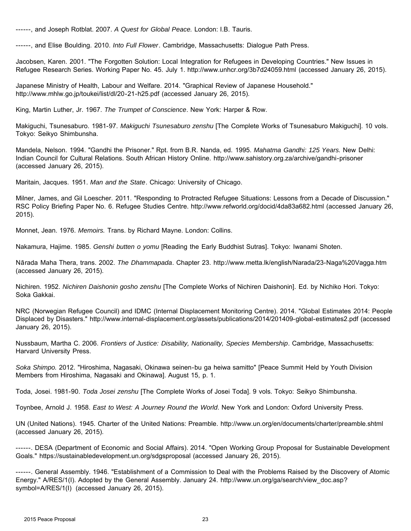------, and Joseph Rotblat. 2007. *A Quest for Global Peace.* London: I.B. Tauris.

------, and Elise Boulding. 2010. *Into Full Flower*. Cambridge, Massachusetts: Dialogue Path Press.

Jacobsen, Karen. 2001. "The Forgotten Solution: Local Integration for Refugees in Developing Countries." New Issues in Refugee Research Series. Working Paper No. 45. July 1. http://www.unhcr.org/3b7d24059.html (accessed January 26, 2015).

Japanese Ministry of Health, Labour and Welfare. 2014. "Graphical Review of Japanese Household." http://www.mhlw.go.jp/toukei/list/dl/20-21-h25.pdf (accessed January 26, 2015).

King, Martin Luther, Jr. 1967. *The Trumpet of Conscience*. New York: Harper & Row.

Makiguchi, Tsunesaburo. 1981-97. *Makiguchi Tsunesaburo zenshu* [The Complete Works of Tsunesaburo Makiguchi]. 10 vols. Tokyo: Seikyo Shimbunsha.

Mandela, Nelson. 1994. "Gandhi the Prisoner." Rpt. from B.R. Nanda, ed. 1995. *Mahatma Gandhi: 125 Years.* New Delhi: Indian Council for Cultural Relations. South African History Online. http://www.sahistory.org.za/archive/gandhi-prisoner (accessed January 26, 2015).

Maritain, Jacques. 1951. *Man and the State*. Chicago: University of Chicago.

Milner, James, and Gil Loescher. 2011. "Responding to Protracted Refugee Situations: Lessons from a Decade of Discussion." RSC Policy Briefing Paper No. 6. Refugee Studies Centre. http://www.refworld.org/docid/4da83a682.html (accessed January 26, 2015).

Monnet, Jean. 1976. *Memoirs.* Trans. by Richard Mayne. London: Collins.

Nakamura, Hajime. 1985. *Genshi butten o yomu* [Reading the Early Buddhist Sutras]. Tokyo: Iwanami Shoten.

Nārada Maha Thera, trans. 2002. *The Dhammapada*. Chapter 23. http://www.metta.lk/english/Narada/23-Naga%20Vagga.htm (accessed January 26, 2015).

Nichiren. 1952. *Nichiren Daishonin gosho zenshu* [The Complete Works of Nichiren Daishonin]. Ed. by Nichiko Hori. Tokyo: Soka Gakkai.

NRC (Norwegian Refugee Council) and IDMC (Internal Displacement Monitoring Centre). 2014. "Global Estimates 2014: People Displaced by Disasters." http://www.internal-displacement.org/assets/publications/2014/201409-global-estimates2.pdf (accessed January 26, 2015).

Nussbaum, Martha C. 2006. *Frontiers of Justice: Disability, Nationality, Species Membership*. Cambridge, Massachusetts: Harvard University Press.

*Soka Shimpo.* 2012. "Hiroshima, Nagasaki, Okinawa seinen-bu ga heiwa samitto" [Peace Summit Held by Youth Division Members from Hiroshima, Nagasaki and Okinawa]. August 15, p. 1.

Toda, Josei. 1981-90. *Toda Josei zenshu* [The Complete Works of Josei Toda]. 9 vols. Tokyo: Seikyo Shimbunsha.

Toynbee, Arnold J. 1958. *East to West: A Journey Round the World*. New York and London: Oxford University Press.

UN (United Nations). 1945. Charter of the United Nations: Preamble. http://www.un.org/en/documents/charter/preamble.shtml (accessed January 26, 2015).

------. DESA (Department of Economic and Social Affairs). 2014. "Open Working Group Proposal for Sustainable Development Goals." https://sustainabledevelopment.un.org/sdgsproposal (accessed January 26, 2015).

------. General Assembly. 1946. "Establishment of a Commission to Deal with the Problems Raised by the Discovery of Atomic Energy." A/RES/1(I). Adopted by the General Assembly. January 24. [http://www.un.org/ga/search/view\\_doc.asp?](http://www.un.org/ga/search/view_doc.asp?symbol=A/RES/1(I)) [symbol=A/RES/1\(I\)](http://www.un.org/ga/search/view_doc.asp?symbol=A/RES/1(I)) (accessed January 26, 2015).